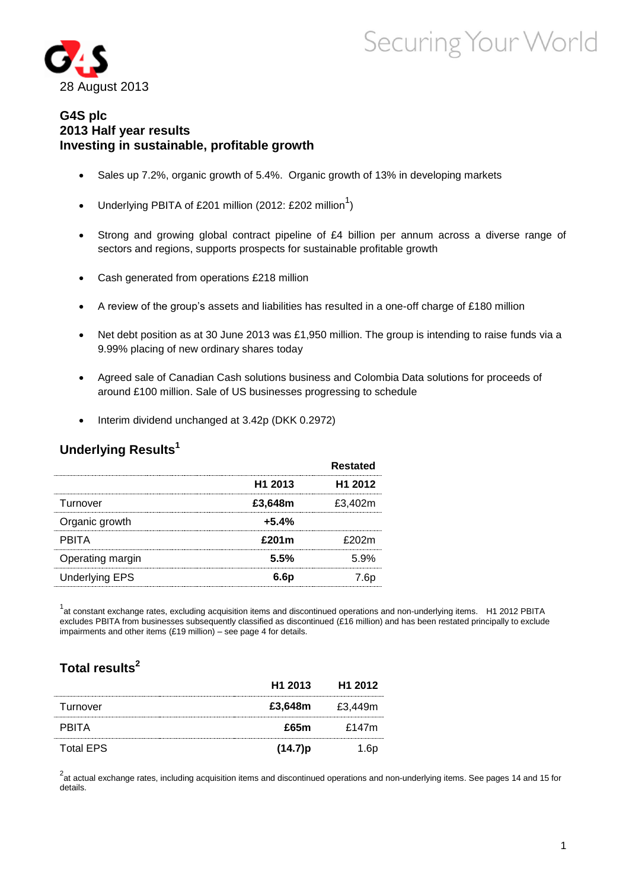# Securing Your World



# **G4S plc 2013 Half year results Investing in sustainable, profitable growth**

- Sales up 7.2%, organic growth of 5.4%. Organic growth of 13% in developing markets
- Underlying PBITA of £201 million (2012: £202 million<sup>1</sup>)
- Strong and growing global contract pipeline of £4 billion per annum across a diverse range of sectors and regions, supports prospects for sustainable profitable growth
- Cash generated from operations £218 million
- A review of the group"s assets and liabilities has resulted in a one-off charge of £180 million
- Net debt position as at 30 June 2013 was £1,950 million. The group is intending to raise funds via a 9.99% placing of new ordinary shares today
- Agreed sale of Canadian Cash solutions business and Colombia Data solutions for proceeds of around £100 million. Sale of US businesses progressing to schedule
- Interim dividend unchanged at 3.42p (DKK 0.2972)

# **Underlying Results<sup>1</sup>**

|                       |                     | Restated<br>        |
|-----------------------|---------------------|---------------------|
|                       | H <sub>1</sub> 2013 | H <sub>1</sub> 2012 |
| Turnover              | £3,648m             | £3,402m             |
| Organic growth        | $+5.4%$             |                     |
| <b>PRITA</b>          | £201m               | £202m               |
| Operating margin      | 5.5%                | 5.9%                |
| <b>Underlying EPS</b> | 6.6p                |                     |
|                       |                     |                     |

<sup>1</sup> at constant exchange rates, excluding acquisition items and discontinued operations and non-underlying items. H1 2012 PBITA excludes PBITA from businesses subsequently classified as discontinued (£16 million) and has been restated principally to exclude impairments and other items (£19 million) – see page 4 for details.

# **Total results<sup>2</sup>**

|           | H <sub>1</sub> 2013 | H <sub>1</sub> 2012 |
|-----------|---------------------|---------------------|
| Turnover  | £3,648m             | £3.449m             |
| PRITA     | £65m                | £147m               |
| Total EPS | (14.7)p             | 1.6p                |

<sup>2</sup> at actual exchange rates, including acquisition items and discontinued operations and non-underlying items. See pages 14 and 15 for details.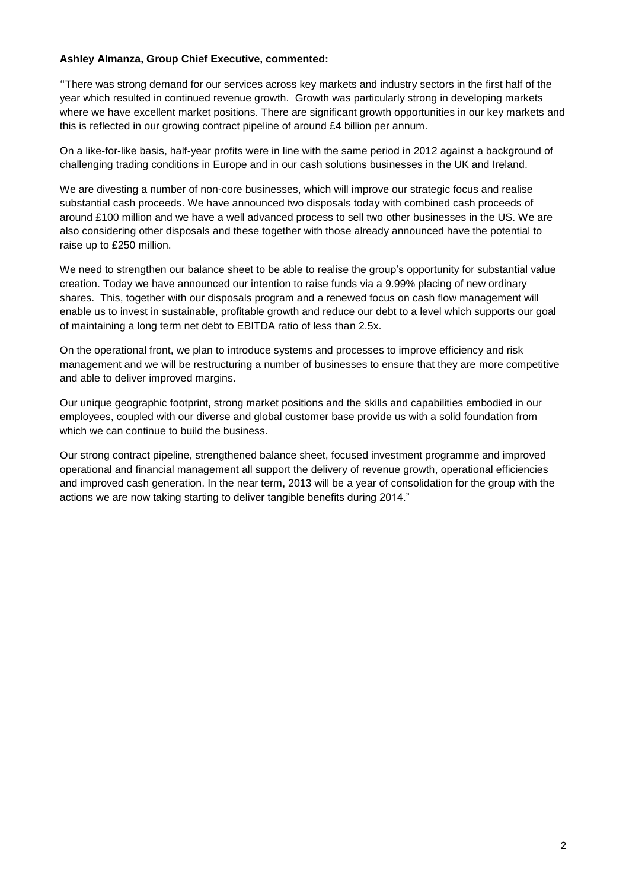# **Ashley Almanza, Group Chief Executive, commented:**

"There was strong demand for our services across key markets and industry sectors in the first half of the year which resulted in continued revenue growth. Growth was particularly strong in developing markets where we have excellent market positions. There are significant growth opportunities in our key markets and this is reflected in our growing contract pipeline of around £4 billion per annum.

On a like-for-like basis, half-year profits were in line with the same period in 2012 against a background of challenging trading conditions in Europe and in our cash solutions businesses in the UK and Ireland.

We are divesting a number of non-core businesses, which will improve our strategic focus and realise substantial cash proceeds. We have announced two disposals today with combined cash proceeds of around £100 million and we have a well advanced process to sell two other businesses in the US. We are also considering other disposals and these together with those already announced have the potential to raise up to £250 million.

We need to strengthen our balance sheet to be able to realise the group's opportunity for substantial value creation. Today we have announced our intention to raise funds via a 9.99% placing of new ordinary shares. This, together with our disposals program and a renewed focus on cash flow management will enable us to invest in sustainable, profitable growth and reduce our debt to a level which supports our goal of maintaining a long term net debt to EBITDA ratio of less than 2.5x.

On the operational front, we plan to introduce systems and processes to improve efficiency and risk management and we will be restructuring a number of businesses to ensure that they are more competitive and able to deliver improved margins.

Our unique geographic footprint, strong market positions and the skills and capabilities embodied in our employees, coupled with our diverse and global customer base provide us with a solid foundation from which we can continue to build the business.

Our strong contract pipeline, strengthened balance sheet, focused investment programme and improved operational and financial management all support the delivery of revenue growth, operational efficiencies and improved cash generation. In the near term, 2013 will be a year of consolidation for the group with the actions we are now taking starting to deliver tangible benefits during 2014."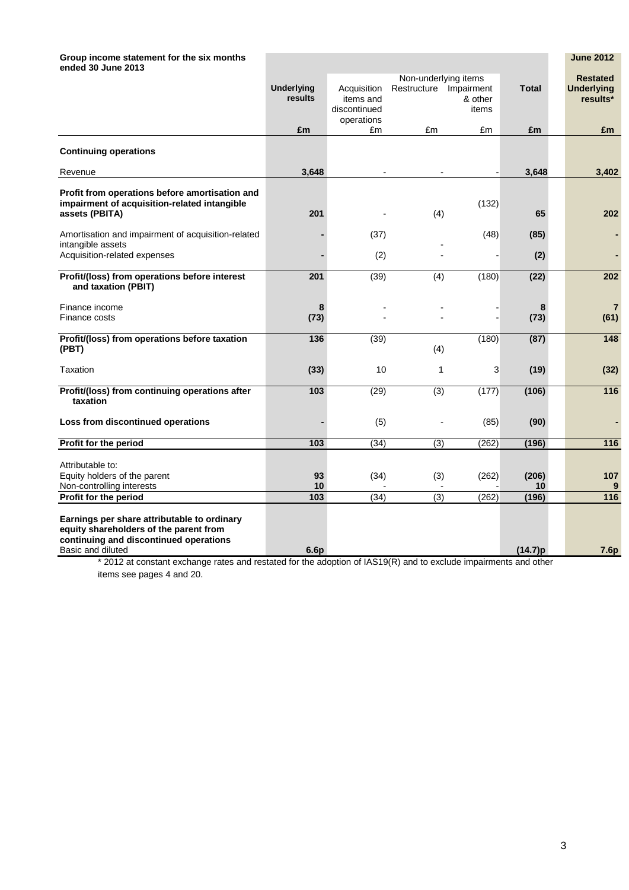### **Group income statement for the six months ended 30 June 2013**

| ended 30 June 2013                                                                                                                                   |                              |                                          |                                                |                  |              |                                                  |
|------------------------------------------------------------------------------------------------------------------------------------------------------|------------------------------|------------------------------------------|------------------------------------------------|------------------|--------------|--------------------------------------------------|
|                                                                                                                                                      | <b>Underlying</b><br>results | Acquisition<br>items and<br>discontinued | Non-underlying items<br>Restructure Impairment | & other<br>items | <b>Total</b> | <b>Restated</b><br><b>Underlying</b><br>results* |
|                                                                                                                                                      | £m                           | operations<br>£m                         | £m                                             | £m               | £m           | £m                                               |
| <b>Continuing operations</b>                                                                                                                         |                              |                                          |                                                |                  |              |                                                  |
| Revenue                                                                                                                                              | 3,648                        |                                          |                                                |                  | 3,648        | 3,402                                            |
| Profit from operations before amortisation and<br>impairment of acquisition-related intangible<br>assets (PBITA)                                     | 201                          |                                          | (4)                                            | (132)            | 65           | 202                                              |
| Amortisation and impairment of acquisition-related<br>intangible assets                                                                              |                              | (37)                                     |                                                | (48)             | (85)         |                                                  |
| Acquisition-related expenses                                                                                                                         |                              | (2)                                      | L,                                             |                  | (2)          |                                                  |
| Profit/(loss) from operations before interest<br>and taxation (PBIT)                                                                                 | 201                          | (39)                                     | $\overline{(4)}$                               | (180)            | (22)         | 202                                              |
| Finance income<br>Finance costs                                                                                                                      | 8<br>(73)                    |                                          |                                                |                  | 8<br>(73)    | $\overline{7}$<br>(61)                           |
| Profit/(loss) from operations before taxation<br>(PBT)                                                                                               | 136                          | (39)                                     | (4)                                            | (180)            | (87)         | 148                                              |
| Taxation                                                                                                                                             | (33)                         | 10                                       | $\mathbf{1}$                                   | 3                | (19)         | (32)                                             |
| Profit/(loss) from continuing operations after<br>taxation                                                                                           | $\frac{103}{2}$              | (29)                                     | $\overline{(3)}$                               | (177)            | (106)        | $\frac{116}{116}$                                |
| Loss from discontinued operations                                                                                                                    |                              | (5)                                      |                                                | (85)             | (90)         |                                                  |
| Profit for the period                                                                                                                                | 103                          | (34)                                     | (3)                                            | (262)            | (196)        | 116                                              |
| Attributable to:<br>Equity holders of the parent<br>Non-controlling interests                                                                        | 93<br>10                     | (34)                                     | (3)                                            | (262)            | (206)<br>10  | 107<br>9                                         |
| Profit for the period                                                                                                                                | $\frac{103}{2}$              | (34)                                     | (3)                                            | (262)            | (196)        | 116                                              |
| Earnings per share attributable to ordinary<br>equity shareholders of the parent from<br>continuing and discontinued operations<br>Basic and diluted | 6.6p                         |                                          |                                                |                  | (14.7)p      | 7.6p                                             |

\* 2012 at constant exchange rates and restated for the adoption of IAS19(R) and to exclude impairments and other items see pages 4 and 20.

**June 2012**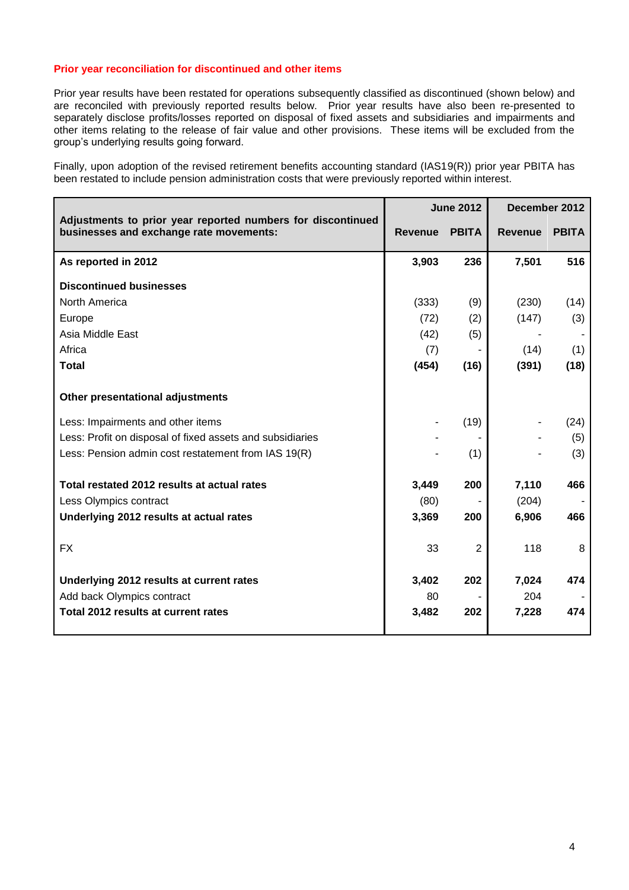# **Prior year reconciliation for discontinued and other items**

Prior year results have been restated for operations subsequently classified as discontinued (shown below) and are reconciled with previously reported results below. Prior year results have also been re-presented to separately disclose profits/losses reported on disposal of fixed assets and subsidiaries and impairments and other items relating to the release of fair value and other provisions. These items will be excluded from the group"s underlying results going forward.

Finally, upon adoption of the revised retirement benefits accounting standard (IAS19(R)) prior year PBITA has been restated to include pension administration costs that were previously reported within interest.

|                |                | December 2012    |              |  |
|----------------|----------------|------------------|--------------|--|
| <b>Revenue</b> | <b>PBITA</b>   | <b>Revenue</b>   | <b>PBITA</b> |  |
| 3,903          | 236            | 7,501            | 516          |  |
|                |                |                  |              |  |
| (333)          | (9)            | (230)            | (14)         |  |
| (72)           | (2)            | (147)            | (3)          |  |
| (42)           | (5)            |                  |              |  |
| (7)            |                | (14)             | (1)          |  |
| (454)          | (16)           | (391)            | (18)         |  |
|                |                |                  |              |  |
|                | (19)           |                  | (24)         |  |
|                |                |                  | (5)          |  |
|                | (1)            |                  | (3)          |  |
| 3,449          | 200            | 7,110            | 466          |  |
| (80)           | -              | (204)            |              |  |
| 3,369          | 200            | 6,906            | 466          |  |
| 33             | $\overline{2}$ | 118              | 8            |  |
| 3,402          | 202            | 7,024            | 474          |  |
| 80             | $\blacksquare$ | 204              |              |  |
| 3,482          | 202            | 7,228            | 474          |  |
|                |                | <b>June 2012</b> |              |  |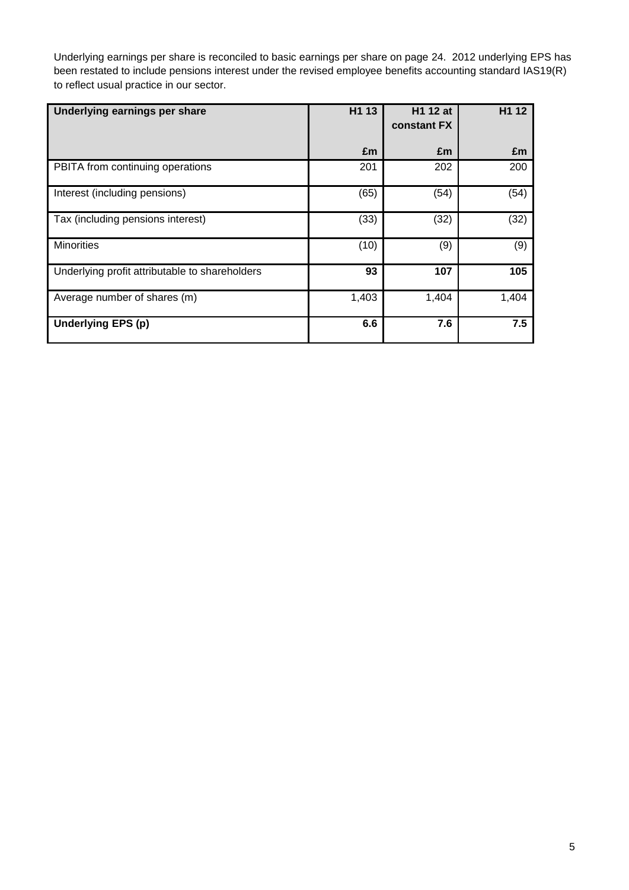Underlying earnings per share is reconciled to basic earnings per share on page 24. 2012 underlying EPS has been restated to include pensions interest under the revised employee benefits accounting standard IAS19(R) to reflect usual practice in our sector.

| Underlying earnings per share                  | H1 13 | H1 12 at<br>constant FX | H <sub>1</sub> 12 |
|------------------------------------------------|-------|-------------------------|-------------------|
|                                                | £m    | £m                      | £m                |
| PBITA from continuing operations               | 201   | 202                     | 200               |
| Interest (including pensions)                  | (65)  | (54)                    | (54)              |
| Tax (including pensions interest)              | (33)  | (32)                    | (32)              |
| <b>Minorities</b>                              | (10)  | (9)                     | (9)               |
| Underlying profit attributable to shareholders | 93    | 107                     | 105               |
| Average number of shares (m)                   | 1,403 | 1,404                   | 1,404             |
| <b>Underlying EPS (p)</b>                      | 6.6   | 7.6                     | 7.5               |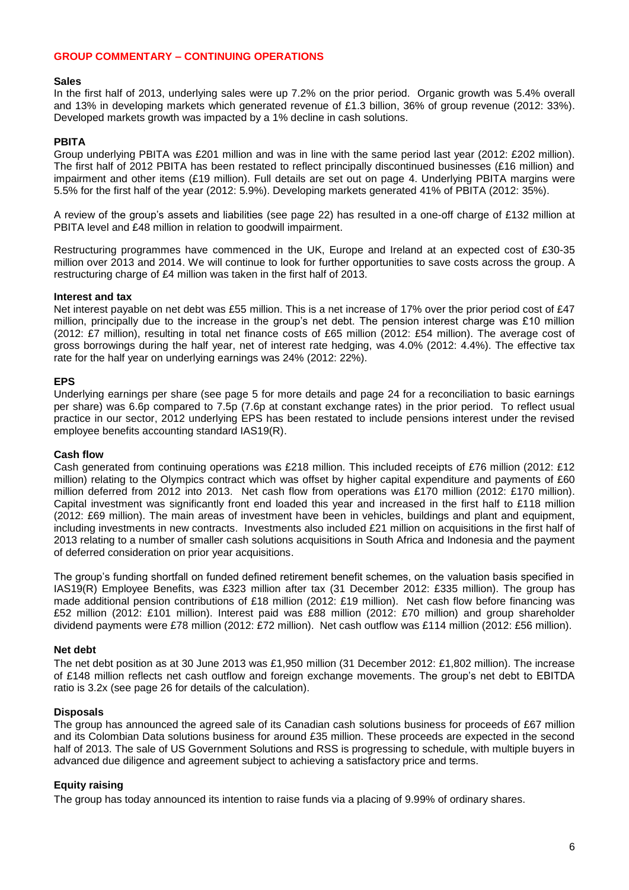# **GROUP COMMENTARY – CONTINUING OPERATIONS**

### **Sales**

In the first half of 2013, underlying sales were up 7.2% on the prior period. Organic growth was 5.4% overall and 13% in developing markets which generated revenue of £1.3 billion, 36% of group revenue (2012: 33%). Developed markets growth was impacted by a 1% decline in cash solutions.

### **PBITA**

Group underlying PBITA was £201 million and was in line with the same period last year (2012: £202 million). The first half of 2012 PBITA has been restated to reflect principally discontinued businesses (£16 million) and impairment and other items (£19 million). Full details are set out on page 4. Underlying PBITA margins were 5.5% for the first half of the year (2012: 5.9%). Developing markets generated 41% of PBITA (2012: 35%).

A review of the group"s assets and liabilities (see page 22) has resulted in a one-off charge of £132 million at PBITA level and £48 million in relation to goodwill impairment.

Restructuring programmes have commenced in the UK, Europe and Ireland at an expected cost of £30-35 million over 2013 and 2014. We will continue to look for further opportunities to save costs across the group. A restructuring charge of £4 million was taken in the first half of 2013.

### **Interest and tax**

Net interest payable on net debt was £55 million. This is a net increase of 17% over the prior period cost of £47 million, principally due to the increase in the group"s net debt. The pension interest charge was £10 million (2012: £7 million), resulting in total net finance costs of £65 million (2012: £54 million). The average cost of gross borrowings during the half year, net of interest rate hedging, was 4.0% (2012: 4.4%). The effective tax rate for the half year on underlying earnings was 24% (2012: 22%).

### **EPS**

Underlying earnings per share (see page 5 for more details and page 24 for a reconciliation to basic earnings per share) was 6.6p compared to 7.5p (7.6p at constant exchange rates) in the prior period. To reflect usual practice in our sector, 2012 underlying EPS has been restated to include pensions interest under the revised employee benefits accounting standard IAS19(R).

### **Cash flow**

Cash generated from continuing operations was £218 million. This included receipts of £76 million (2012: £12 million) relating to the Olympics contract which was offset by higher capital expenditure and payments of £60 million deferred from 2012 into 2013. Net cash flow from operations was £170 million (2012: £170 million). Capital investment was significantly front end loaded this year and increased in the first half to £118 million (2012: £69 million). The main areas of investment have been in vehicles, buildings and plant and equipment, including investments in new contracts. Investments also included £21 million on acquisitions in the first half of 2013 relating to a number of smaller cash solutions acquisitions in South Africa and Indonesia and the payment of deferred consideration on prior year acquisitions.

The group"s funding shortfall on funded defined retirement benefit schemes, on the valuation basis specified in IAS19(R) Employee Benefits, was £323 million after tax (31 December 2012: £335 million). The group has made additional pension contributions of £18 million (2012: £19 million). Net cash flow before financing was £52 million (2012: £101 million). Interest paid was £88 million (2012: £70 million) and group shareholder dividend payments were £78 million (2012: £72 million). Net cash outflow was £114 million (2012: £56 million).

### **Net debt**

The net debt position as at 30 June 2013 was £1,950 million (31 December 2012: £1,802 million). The increase of £148 million reflects net cash outflow and foreign exchange movements. The group"s net debt to EBITDA ratio is 3.2x (see page 26 for details of the calculation).

### **Disposals**

The group has announced the agreed sale of its Canadian cash solutions business for proceeds of £67 million and its Colombian Data solutions business for around £35 million. These proceeds are expected in the second half of 2013. The sale of US Government Solutions and RSS is progressing to schedule, with multiple buyers in advanced due diligence and agreement subject to achieving a satisfactory price and terms.

### **Equity raising**

The group has today announced its intention to raise funds via a placing of 9.99% of ordinary shares.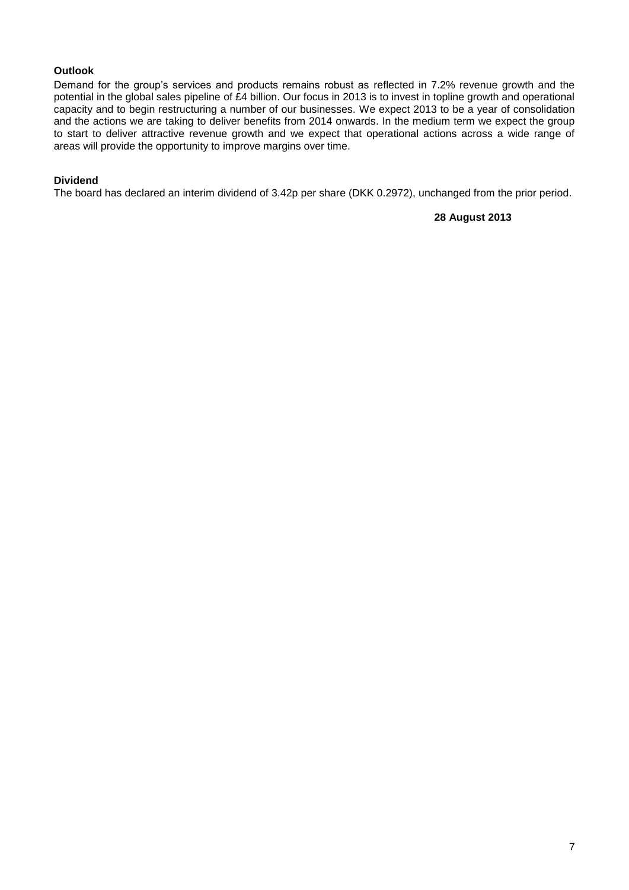# **Outlook**

Demand for the group"s services and products remains robust as reflected in 7.2% revenue growth and the potential in the global sales pipeline of £4 billion. Our focus in 2013 is to invest in topline growth and operational capacity and to begin restructuring a number of our businesses. We expect 2013 to be a year of consolidation and the actions we are taking to deliver benefits from 2014 onwards. In the medium term we expect the group to start to deliver attractive revenue growth and we expect that operational actions across a wide range of areas will provide the opportunity to improve margins over time.

# **Dividend**

The board has declared an interim dividend of 3.42p per share (DKK 0.2972), unchanged from the prior period.

**28 August 2013**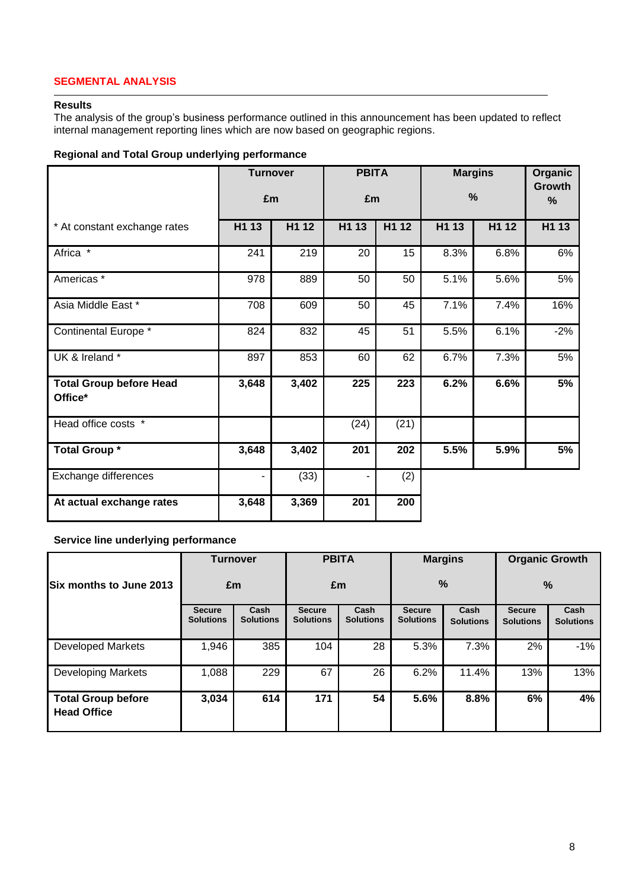# **SEGMENTAL ANALYSIS**

### **Results**

The analysis of the group's business performance outlined in this announcement has been updated to reflect internal management reporting lines which are now based on geographic regions.

# **Regional and Total Group underlying performance**

|                                           | <b>Turnover</b> |       | <b>PBITA</b> |       | <b>Margins</b> | Organic<br>Growth |       |
|-------------------------------------------|-----------------|-------|--------------|-------|----------------|-------------------|-------|
|                                           | £m              |       | £m           |       | $\frac{0}{0}$  | %                 |       |
| * At constant exchange rates              | H1 13           | H1 12 | H1 13        | H1 12 | H1 13          | H1 12             | H1 13 |
| Africa *                                  | 241             | 219   | 20           | 15    | 8.3%           | 6.8%              | 6%    |
| Americas <sup>*</sup>                     | 978             | 889   | 50           | 50    | 5.1%           | 5.6%              | 5%    |
| Asia Middle East *                        | 708             | 609   | 50           | 45    | 7.1%           | 7.4%              | 16%   |
| Continental Europe *                      | 824             | 832   | 45           | 51    | 5.5%           | 6.1%              | $-2%$ |
| UK & Ireland *                            | 897             | 853   | 60           | 62    | 6.7%           | 7.3%              | 5%    |
| <b>Total Group before Head</b><br>Office* | 3,648           | 3,402 | 225          | 223   | 6.2%           | 6.6%              | 5%    |
| Head office costs *                       |                 |       | (24)         | (21)  |                |                   |       |
| <b>Total Group*</b>                       | 3,648           | 3,402 | 201          | 202   | 5.5%           | 5.9%              | 5%    |
| Exchange differences                      | -               | (33)  |              | (2)   |                |                   |       |
| At actual exchange rates                  | 3,648           | 3,369 | 201          | 200   |                |                   |       |

# **Service line underlying performance**

|                                                 |                                   | Turnover                 |                                   | <b>PBITA</b>             |                                   | <b>Margins</b>           | <b>Organic Growth</b>             |                          |
|-------------------------------------------------|-----------------------------------|--------------------------|-----------------------------------|--------------------------|-----------------------------------|--------------------------|-----------------------------------|--------------------------|
| <b>Six months to June 2013</b>                  | £m                                |                          | £m                                |                          | $\%$                              |                          | %                                 |                          |
|                                                 | <b>Secure</b><br><b>Solutions</b> | Cash<br><b>Solutions</b> | <b>Secure</b><br><b>Solutions</b> | Cash<br><b>Solutions</b> | <b>Secure</b><br><b>Solutions</b> | Cash<br><b>Solutions</b> | <b>Secure</b><br><b>Solutions</b> | Cash<br><b>Solutions</b> |
| <b>Developed Markets</b>                        | 1,946                             | 385                      | 104                               | 28                       | 5.3%                              | 7.3%                     | 2%                                | $-1%$                    |
| <b>Developing Markets</b>                       | 1,088                             | 229                      | 67                                | 26                       | 6.2%                              | 11.4%                    | 13%                               | 13%                      |
| <b>Total Group before</b><br><b>Head Office</b> | 3,034                             | 614                      | 171                               | 54                       | 5.6%                              | 8.8%                     | 6%                                | 4%                       |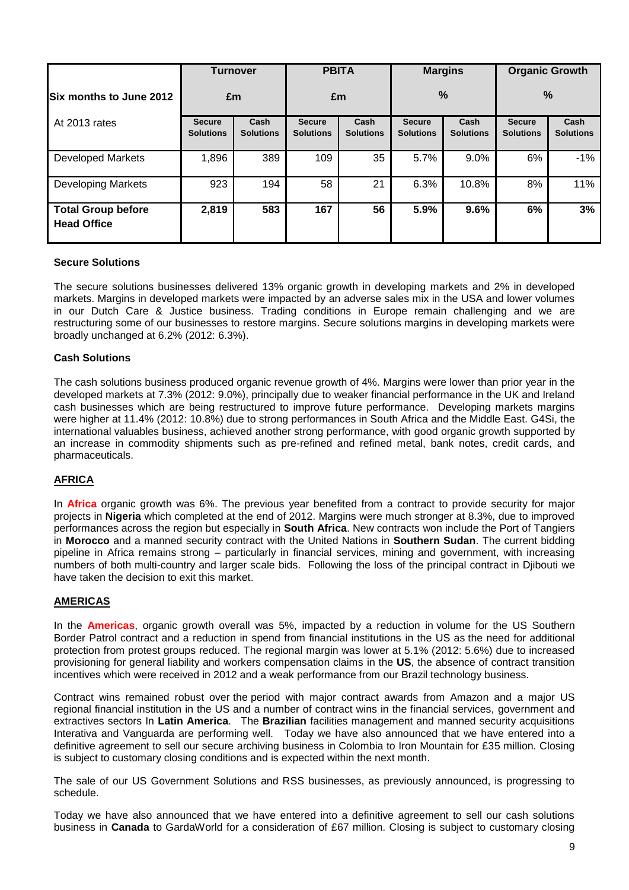|                                                 |                                   | <b>PBITA</b><br><b>Turnover</b> |                                   |                          |                                   |                          |                                   | <b>Margins</b>           |  | <b>Organic Growth</b> |
|-------------------------------------------------|-----------------------------------|---------------------------------|-----------------------------------|--------------------------|-----------------------------------|--------------------------|-----------------------------------|--------------------------|--|-----------------------|
| Six months to June 2012                         | £m                                |                                 | £m                                |                          | $\frac{0}{0}$                     |                          | $\%$                              |                          |  |                       |
| At 2013 rates                                   | <b>Secure</b><br><b>Solutions</b> | Cash<br><b>Solutions</b>        | <b>Secure</b><br><b>Solutions</b> | Cash<br><b>Solutions</b> | <b>Secure</b><br><b>Solutions</b> | Cash<br><b>Solutions</b> | <b>Secure</b><br><b>Solutions</b> | Cash<br><b>Solutions</b> |  |                       |
| <b>Developed Markets</b>                        | 1,896                             | 389                             | 109                               | 35                       | 5.7%                              | 9.0%                     | 6%                                | $-1\%$                   |  |                       |
| <b>Developing Markets</b>                       | 923                               | 194                             | 58                                | 21                       | 6.3%                              | 10.8%                    | 8%                                | 11%                      |  |                       |
| <b>Total Group before</b><br><b>Head Office</b> | 2,819                             | 583                             | 167                               | 56                       | 5.9%                              | 9.6%                     | 6%                                | 3%                       |  |                       |

### **Secure Solutions**

The secure solutions businesses delivered 13% organic growth in developing markets and 2% in developed markets. Margins in developed markets were impacted by an adverse sales mix in the USA and lower volumes in our Dutch Care & Justice business. Trading conditions in Europe remain challenging and we are restructuring some of our businesses to restore margins. Secure solutions margins in developing markets were broadly unchanged at 6.2% (2012: 6.3%).

# **Cash Solutions**

The cash solutions business produced organic revenue growth of 4%. Margins were lower than prior year in the developed markets at 7.3% (2012: 9.0%), principally due to weaker financial performance in the UK and Ireland cash businesses which are being restructured to improve future performance. Developing markets margins were higher at 11.4% (2012: 10.8%) due to strong performances in South Africa and the Middle East. G4Si, the international valuables business, achieved another strong performance, with good organic growth supported by an increase in commodity shipments such as pre-refined and refined metal, bank notes, credit cards, and pharmaceuticals.

# **AFRICA**

In **Africa** organic growth was 6%. The previous year benefited from a contract to provide security for major projects in **Nigeria** which completed at the end of 2012. Margins were much stronger at 8.3%, due to improved performances across the region but especially in **South Africa**. New contracts won include the Port of Tangiers in **Morocco** and a manned security contract with the United Nations in **Southern Sudan**. The current bidding pipeline in Africa remains strong – particularly in financial services, mining and government, with increasing numbers of both multi-country and larger scale bids. Following the loss of the principal contract in Djibouti we have taken the decision to exit this market.

# **AMERICAS**

In the **Americas**, organic growth overall was 5%, impacted by a reduction in volume for the US Southern Border Patrol contract and a reduction in spend from financial institutions in the US as the need for additional protection from protest groups reduced. The regional margin was lower at 5.1% (2012: 5.6%) due to increased provisioning for general liability and workers compensation claims in the **US**, the absence of contract transition incentives which were received in 2012 and a weak performance from our Brazil technology business.

Contract wins remained robust over the period with major contract awards from Amazon and a major US regional financial institution in the US and a number of contract wins in the financial services, government and extractives sectors In **Latin America**. The **Brazilian** facilities management and manned security acquisitions Interativa and Vanguarda are performing well. Today we have also announced that we have entered into a definitive agreement to sell our secure archiving business in Colombia to Iron Mountain for £35 million. Closing is subject to customary closing conditions and is expected within the next month.

The sale of our US Government Solutions and RSS businesses, as previously announced, is progressing to schedule.

Today we have also announced that we have entered into a definitive agreement to sell our cash solutions business in **Canada** to GardaWorld for a consideration of £67 million. Closing is subject to customary closing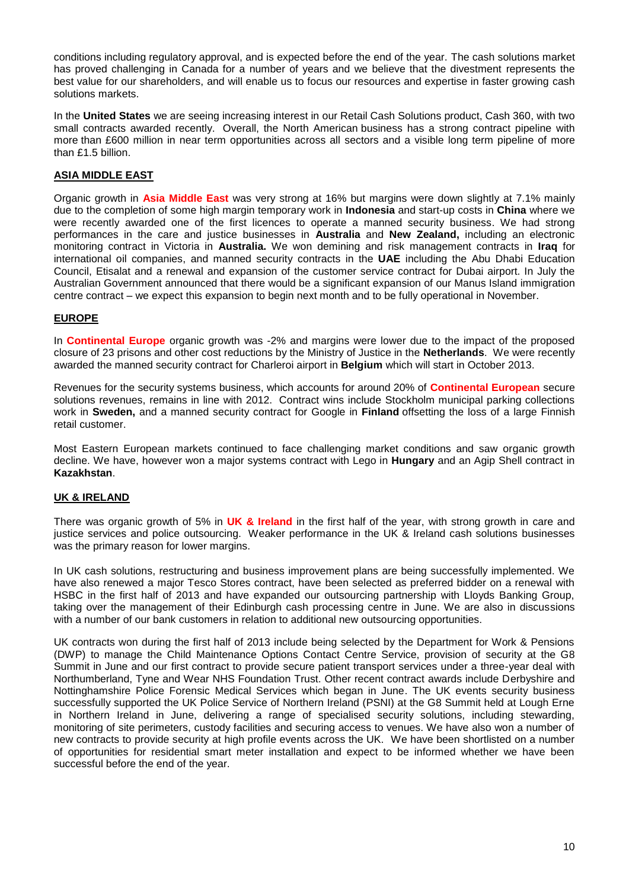conditions including regulatory approval, and is expected before the end of the year. The cash solutions market has proved challenging in Canada for a number of years and we believe that the divestment represents the best value for our shareholders, and will enable us to focus our resources and expertise in faster growing cash solutions markets.

In the **United States** we are seeing increasing interest in our Retail Cash Solutions product, Cash 360, with two small contracts awarded recently. Overall, the North American business has a strong contract pipeline with more than £600 million in near term opportunities across all sectors and a visible long term pipeline of more than £1.5 billion.

# **ASIA MIDDLE EAST**

Organic growth in **Asia Middle East** was very strong at 16% but margins were down slightly at 7.1% mainly due to the completion of some high margin temporary work in **Indonesia** and start-up costs in **China** where we were recently awarded one of the first licences to operate a manned security business. We had strong performances in the care and justice businesses in **Australia** and **New Zealand,** including an electronic monitoring contract in Victoria in **Australia.** We won demining and risk management contracts in **Iraq** for international oil companies, and manned security contracts in the **UAE** including the Abu Dhabi Education Council, Etisalat and a renewal and expansion of the customer service contract for Dubai airport. In July the Australian Government announced that there would be a significant expansion of our Manus Island immigration centre contract – we expect this expansion to begin next month and to be fully operational in November.

# **EUROPE**

In **Continental Europe** organic growth was -2% and margins were lower due to the impact of the proposed closure of 23 prisons and other cost reductions by the Ministry of Justice in the **Netherlands**. We were recently awarded the manned security contract for Charleroi airport in **Belgium** which will start in October 2013.

Revenues for the security systems business, which accounts for around 20% of **Continental European** secure solutions revenues, remains in line with 2012. Contract wins include Stockholm municipal parking collections work in **Sweden,** and a manned security contract for Google in **Finland** offsetting the loss of a large Finnish retail customer.

Most Eastern European markets continued to face challenging market conditions and saw organic growth decline. We have, however won a major systems contract with Lego in **Hungary** and an Agip Shell contract in **Kazakhstan**.

# **UK & IRELAND**

There was organic growth of 5% in **UK & Ireland** in the first half of the year, with strong growth in care and justice services and police outsourcing. Weaker performance in the UK & Ireland cash solutions businesses was the primary reason for lower margins.

In UK cash solutions, restructuring and business improvement plans are being successfully implemented. We have also renewed a major Tesco Stores contract, have been selected as preferred bidder on a renewal with HSBC in the first half of 2013 and have expanded our outsourcing partnership with Lloyds Banking Group, taking over the management of their Edinburgh cash processing centre in June. We are also in discussions with a number of our bank customers in relation to additional new outsourcing opportunities.

UK contracts won during the first half of 2013 include being selected by the Department for Work & Pensions (DWP) to manage the Child Maintenance Options Contact Centre Service, provision of security at the G8 Summit in June and our first contract to provide secure patient transport services under a three-year deal with Northumberland, Tyne and Wear NHS Foundation Trust. Other recent contract awards include Derbyshire and Nottinghamshire Police Forensic Medical Services which began in June. The UK events security business successfully supported the UK Police Service of Northern Ireland (PSNI) at the G8 Summit held at Lough Erne in Northern Ireland in June, delivering a range of specialised security solutions, including stewarding, monitoring of site perimeters, custody facilities and securing access to venues. We have also won a number of new contracts to provide security at high profile events across the UK. We have been shortlisted on a number of opportunities for residential smart meter installation and expect to be informed whether we have been successful before the end of the year.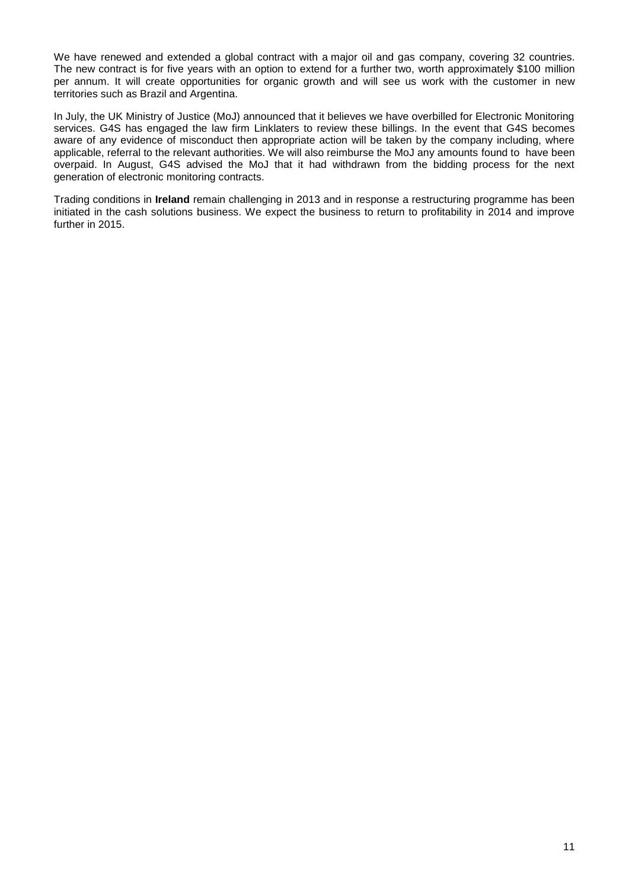We have renewed and extended a global contract with a major oil and gas company, covering 32 countries. The new contract is for five years with an option to extend for a further two, worth approximately \$100 million per annum. It will create opportunities for organic growth and will see us work with the customer in new territories such as Brazil and Argentina.

In July, the UK Ministry of Justice (MoJ) announced that it believes we have overbilled for Electronic Monitoring services. G4S has engaged the law firm Linklaters to review these billings. In the event that G4S becomes aware of any evidence of misconduct then appropriate action will be taken by the company including, where applicable, referral to the relevant authorities. We will also reimburse the MoJ any amounts found to have been overpaid. In August, G4S advised the MoJ that it had withdrawn from the bidding process for the next generation of electronic monitoring contracts.

Trading conditions in **Ireland** remain challenging in 2013 and in response a restructuring programme has been initiated in the cash solutions business. We expect the business to return to profitability in 2014 and improve further in 2015.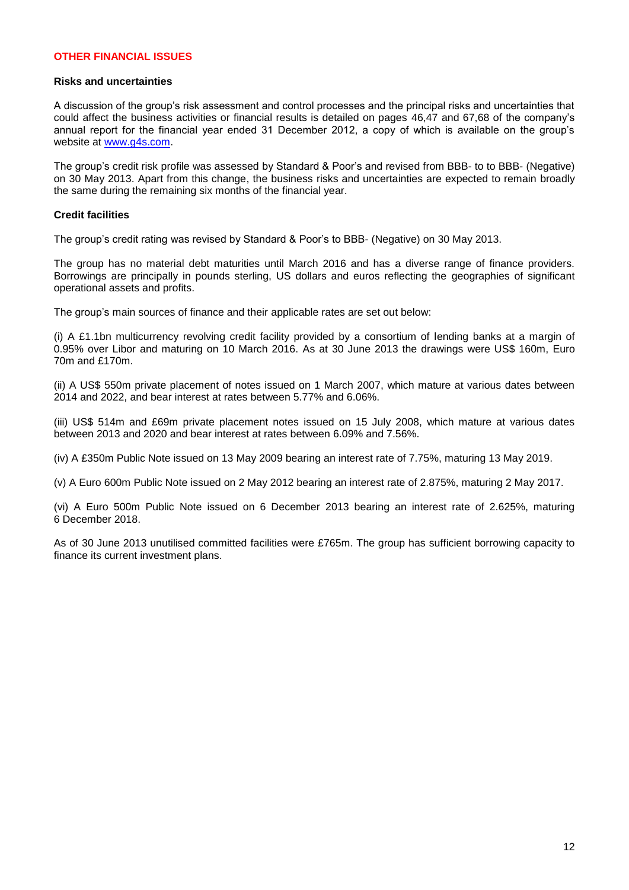### **OTHER FINANCIAL ISSUES**

### **Risks and uncertainties**

A discussion of the group"s risk assessment and control processes and the principal risks and uncertainties that could affect the business activities or financial results is detailed on pages 46,47 and 67,68 of the company"s annual report for the financial year ended 31 December 2012, a copy of which is available on the group"s website at [www.g4s.com.](http://www.g4s.com/)

The group"s credit risk profile was assessed by Standard & Poor"s and revised from BBB- to to BBB- (Negative) on 30 May 2013. Apart from this change, the business risks and uncertainties are expected to remain broadly the same during the remaining six months of the financial year.

### **Credit facilities**

The group"s credit rating was revised by Standard & Poor"s to BBB- (Negative) on 30 May 2013.

The group has no material debt maturities until March 2016 and has a diverse range of finance providers. Borrowings are principally in pounds sterling, US dollars and euros reflecting the geographies of significant operational assets and profits.

The group's main sources of finance and their applicable rates are set out below:

(i) A £1.1bn multicurrency revolving credit facility provided by a consortium of lending banks at a margin of 0.95% over Libor and maturing on 10 March 2016. As at 30 June 2013 the drawings were US\$ 160m, Euro 70m and £170m.

(ii) A US\$ 550m private placement of notes issued on 1 March 2007, which mature at various dates between 2014 and 2022, and bear interest at rates between 5.77% and 6.06%.

(iii) US\$ 514m and £69m private placement notes issued on 15 July 2008, which mature at various dates between 2013 and 2020 and bear interest at rates between 6.09% and 7.56%.

(iv) A £350m Public Note issued on 13 May 2009 bearing an interest rate of 7.75%, maturing 13 May 2019.

(v) A Euro 600m Public Note issued on 2 May 2012 bearing an interest rate of 2.875%, maturing 2 May 2017.

(vi) A Euro 500m Public Note issued on 6 December 2013 bearing an interest rate of 2.625%, maturing 6 December 2018.

As of 30 June 2013 unutilised committed facilities were £765m. The group has sufficient borrowing capacity to finance its current investment plans.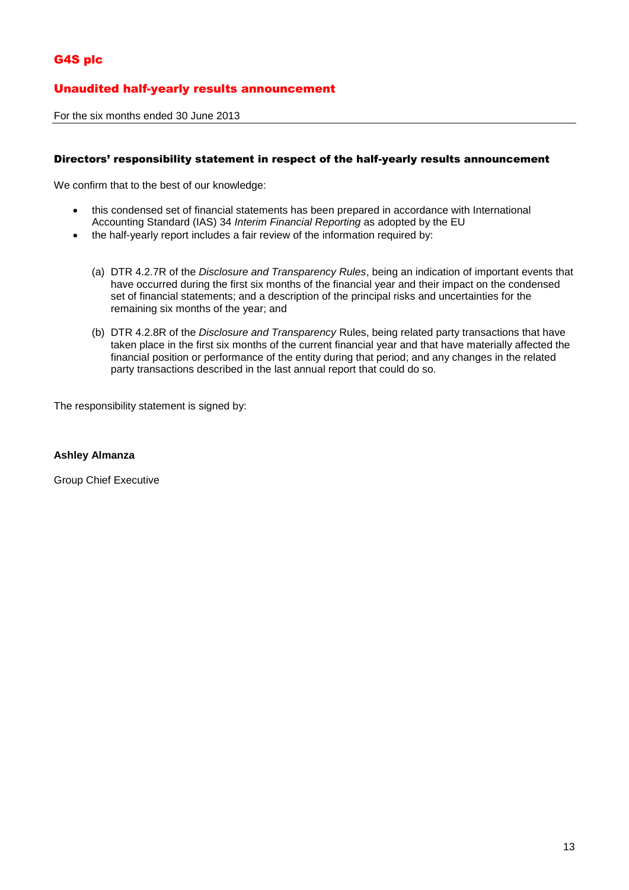# Unaudited half-yearly results announcement

For the six months ended 30 June 2013

### Directors' responsibility statement in respect of the half-yearly results announcement

We confirm that to the best of our knowledge:

- this condensed set of financial statements has been prepared in accordance with International Accounting Standard (IAS) 34 *Interim Financial Reporting* as adopted by the EU
- the half-yearly report includes a fair review of the information required by:
	- (a) DTR 4.2.7R of the *Disclosure and Transparency Rules*, being an indication of important events that have occurred during the first six months of the financial year and their impact on the condensed set of financial statements; and a description of the principal risks and uncertainties for the remaining six months of the year; and
	- (b) DTR 4.2.8R of the *Disclosure and Transparency* Rules, being related party transactions that have taken place in the first six months of the current financial year and that have materially affected the financial position or performance of the entity during that period; and any changes in the related party transactions described in the last annual report that could do so.

The responsibility statement is signed by:

### **Ashley Almanza**

Group Chief Executive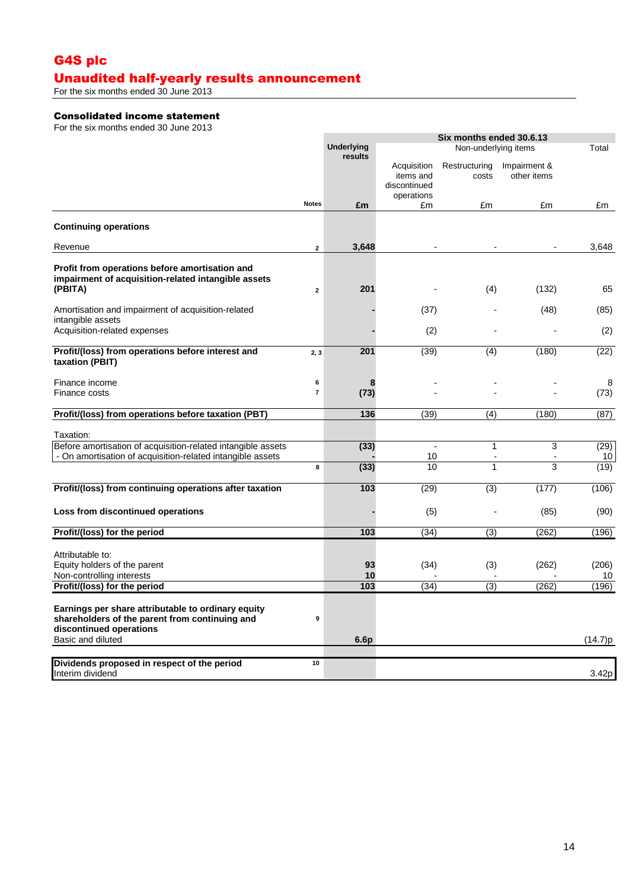# G4S plc Unaudited half-yearly results announcement

For the six months ended 30 June 2013

# Consolidated income statement

For the six months ended 30 June 2013

|                                                                                                                                                      |                | Six months ended 30.6.13 |                                                        |                        |                             |             |  |  |
|------------------------------------------------------------------------------------------------------------------------------------------------------|----------------|--------------------------|--------------------------------------------------------|------------------------|-----------------------------|-------------|--|--|
|                                                                                                                                                      |                | <b>Underlying</b>        |                                                        | Non-underlying items   |                             | Total       |  |  |
|                                                                                                                                                      |                | results                  | Acquisition<br>items and<br>discontinued<br>operations | Restructuring<br>costs | Impairment &<br>other items |             |  |  |
|                                                                                                                                                      | <b>Notes</b>   | £m                       | £m                                                     | £m                     | £m                          | £m          |  |  |
| <b>Continuing operations</b>                                                                                                                         |                |                          |                                                        |                        |                             |             |  |  |
| Revenue                                                                                                                                              | $\mathbf{2}$   | 3,648                    |                                                        |                        |                             | 3,648       |  |  |
| Profit from operations before amortisation and<br>impairment of acquisition-related intangible assets<br>(PBITA)                                     | $\mathbf{2}$   | 201                      |                                                        | (4)                    | (132)                       | 65          |  |  |
| Amortisation and impairment of acquisition-related                                                                                                   |                |                          | (37)                                                   |                        | (48)                        | (85)        |  |  |
| intangible assets<br>Acquisition-related expenses                                                                                                    |                |                          | (2)                                                    |                        |                             | (2)         |  |  |
| Profit/(loss) from operations before interest and<br>taxation (PBIT)                                                                                 | 2, 3           | 201                      | (39)                                                   | (4)                    | (180)                       | (22)        |  |  |
| Finance income                                                                                                                                       | 6              | 8                        |                                                        |                        |                             | 8           |  |  |
| Finance costs                                                                                                                                        | $\overline{7}$ | (73)                     |                                                        |                        |                             | (73)        |  |  |
| Profit/(loss) from operations before taxation (PBT)                                                                                                  |                | 136                      | (39)                                                   | (4)                    | (180)                       | (87)        |  |  |
| Taxation:                                                                                                                                            |                |                          |                                                        |                        |                             |             |  |  |
| Before amortisation of acquisition-related intangible assets                                                                                         |                | (33)                     |                                                        | 1                      | 3                           | (29)        |  |  |
| - On amortisation of acquisition-related intangible assets                                                                                           | 8              | (33)                     | 10<br>10                                               | 1                      | 3                           | 10<br>(19)  |  |  |
|                                                                                                                                                      |                |                          |                                                        |                        |                             |             |  |  |
| Profit/(loss) from continuing operations after taxation                                                                                              |                | 103                      | (29)                                                   | (3)                    | (177)                       | (106)       |  |  |
| Loss from discontinued operations                                                                                                                    |                |                          | (5)                                                    |                        | (85)                        | (90)        |  |  |
| Profit/(loss) for the period                                                                                                                         |                | 103                      | (34)                                                   | (3)                    | (262)                       | (196)       |  |  |
| Attributable to:<br>Equity holders of the parent<br>Non-controlling interests                                                                        |                | 93<br>10                 | (34)                                                   | (3)                    | (262)                       | (206)<br>10 |  |  |
| Profit/(loss) for the period                                                                                                                         |                | 103                      | (34)                                                   | (3)                    | (262)                       | (196)       |  |  |
| Earnings per share attributable to ordinary equity<br>shareholders of the parent from continuing and<br>discontinued operations<br>Basic and diluted | 9              | 6.6p                     |                                                        |                        |                             | (14.7)p     |  |  |
|                                                                                                                                                      |                |                          |                                                        |                        |                             |             |  |  |
| Dividends proposed in respect of the period<br>Interim dividend                                                                                      | 10             |                          |                                                        |                        |                             | 3.42p       |  |  |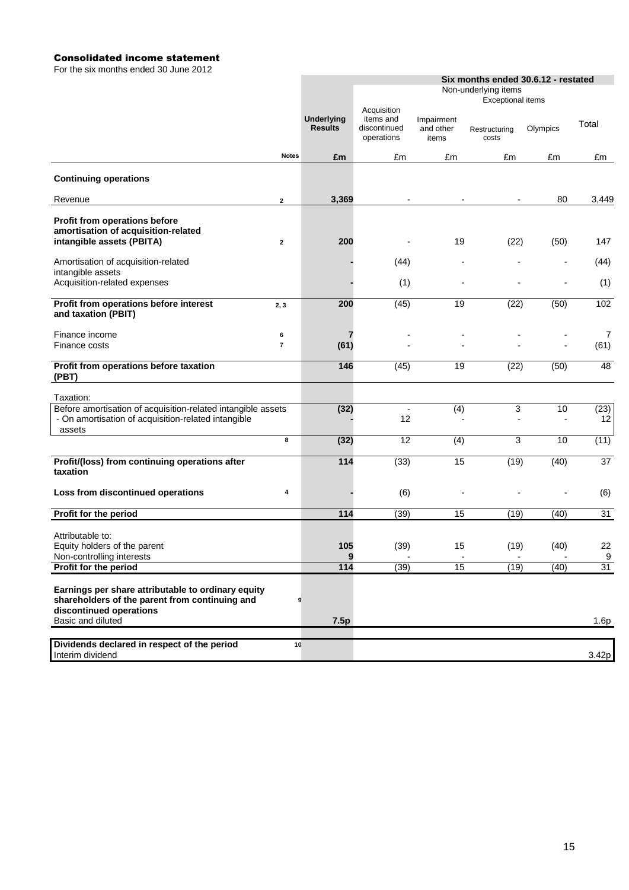### Consolidated income statement

For the six months ended 30 June 2012

### **Six months ended 30.6.12 - restated** Non-underlying items

|                                                                                                                                                      |                              | <b>Exceptional items</b>                               |                                  |                        |          |            |  |  |
|------------------------------------------------------------------------------------------------------------------------------------------------------|------------------------------|--------------------------------------------------------|----------------------------------|------------------------|----------|------------|--|--|
|                                                                                                                                                      | Underlying<br><b>Results</b> | Acquisition<br>items and<br>discontinued<br>operations | Impairment<br>and other<br>items | Restructuring<br>costs | Olympics | Total      |  |  |
|                                                                                                                                                      | <b>Notes</b><br>£m           | £m                                                     | £m                               | £m                     | £m       | £m         |  |  |
| <b>Continuing operations</b>                                                                                                                         |                              |                                                        |                                  |                        |          |            |  |  |
| Revenue<br>$\mathbf{2}$                                                                                                                              | 3,369                        |                                                        |                                  |                        | 80       | 3,449      |  |  |
| Profit from operations before<br>amortisation of acquisition-related<br>intangible assets (PBITA)<br>$\mathbf{2}$                                    | 200                          |                                                        | 19                               | (22)                   | (50)     | 147        |  |  |
| Amortisation of acquisition-related                                                                                                                  |                              | (44)                                                   |                                  |                        |          | (44)       |  |  |
| intangible assets<br>Acquisition-related expenses                                                                                                    |                              | (1)                                                    |                                  |                        |          | (1)        |  |  |
| Profit from operations before interest<br>2, 3<br>and taxation (PBIT)                                                                                | 200                          | (45)                                                   | 19                               | (22)                   | (50)     | 102        |  |  |
| Finance income<br>6<br>$\overline{7}$<br>Finance costs                                                                                               | 7<br>(61)                    |                                                        |                                  |                        |          | 7<br>(61)  |  |  |
| Profit from operations before taxation<br>(PBT)                                                                                                      | 146                          | (45)                                                   | 19                               | (22)                   | (50)     | 48         |  |  |
| Taxation:                                                                                                                                            |                              |                                                        |                                  |                        |          |            |  |  |
| Before amortisation of acquisition-related intangible assets<br>- On amortisation of acquisition-related intangible<br>assets                        | (32)                         | 12                                                     | (4)                              | 3                      | 10       | (23)<br>12 |  |  |
|                                                                                                                                                      | 8<br>(32)                    | $\overline{12}$                                        | (4)                              | 3                      | 10       | (11)       |  |  |
| Profit/(loss) from continuing operations after<br>taxation                                                                                           | 114                          | (33)                                                   | 15                               | (19)                   | (40)     | 37         |  |  |
| Loss from discontinued operations                                                                                                                    | $\pmb{4}$                    | (6)                                                    |                                  |                        |          | (6)        |  |  |
| Profit for the period                                                                                                                                | 114                          | (39)                                                   | 15                               | (19)                   | (40)     | 31         |  |  |
| Attributable to:<br>Equity holders of the parent<br>Non-controlling interests                                                                        | 105<br>9                     | (39)                                                   | 15                               | (19)                   | (40)     | 22<br>9    |  |  |
| Profit for the period                                                                                                                                | 114                          | (39)                                                   | 15                               | (19)                   | (40)     | 31         |  |  |
| Earnings per share attributable to ordinary equity<br>shareholders of the parent from continuing and<br>discontinued operations<br>Basic and diluted | 9<br>7.5p                    |                                                        |                                  |                        |          | 1.6p       |  |  |
| Dividends declared in respect of the period<br>Interim dividend                                                                                      | 10                           |                                                        |                                  |                        |          | 3.42p      |  |  |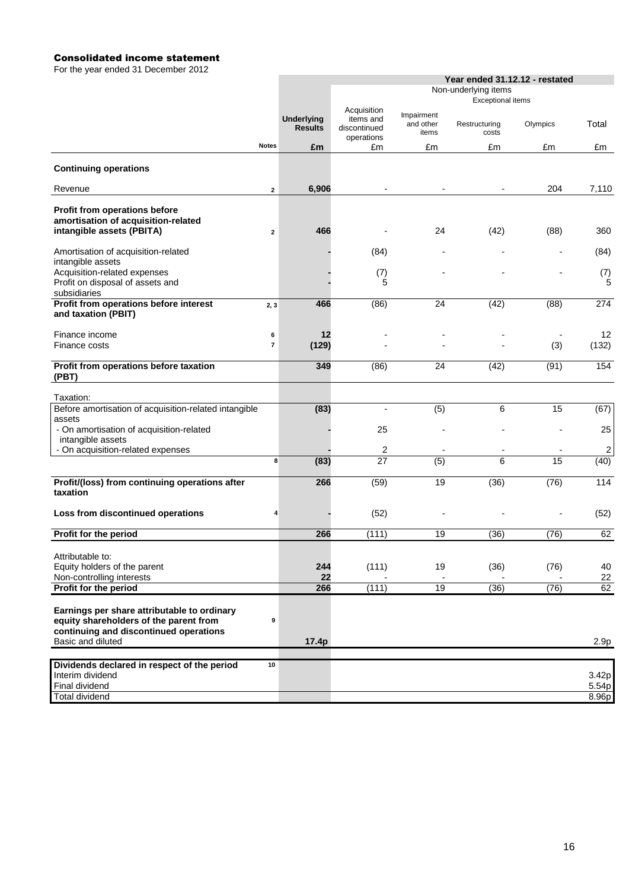### Consolidated income statement

For the year ended 31 December 2012

|                                                                                                                                                      |                                    | Year ended 31.12.12 - restated<br>Non-underlying items<br><b>Exceptional items</b> |                                  |                        |                       |                   |  |
|------------------------------------------------------------------------------------------------------------------------------------------------------|------------------------------------|------------------------------------------------------------------------------------|----------------------------------|------------------------|-----------------------|-------------------|--|
|                                                                                                                                                      | Underlying<br><b>Results</b>       | Acquisition<br>items and<br>discontinued<br>operations                             | Impairment<br>and other<br>items | Restructuring<br>costs | Olympics              | Total             |  |
| <b>Notes</b>                                                                                                                                         | £m                                 | £m                                                                                 | £m                               | £m                     | £m                    | £m                |  |
| <b>Continuing operations</b>                                                                                                                         |                                    |                                                                                    |                                  |                        |                       |                   |  |
| Revenue                                                                                                                                              | 6,906<br>$\mathbf{2}$              |                                                                                    |                                  |                        | 204                   | 7,110             |  |
| Profit from operations before<br>amortisation of acquisition-related<br>intangible assets (PBITA)                                                    | 466<br>$\mathbf{2}$                |                                                                                    | 24                               | (42)                   | (88)                  | 360               |  |
| Amortisation of acquisition-related<br>intangible assets                                                                                             |                                    | (84)                                                                               |                                  |                        |                       | (84)              |  |
| Acquisition-related expenses<br>Profit on disposal of assets and<br>subsidiaries                                                                     |                                    | (7)<br>5                                                                           |                                  |                        |                       | (7)<br>5          |  |
| Profit from operations before interest<br>2, 3<br>and taxation (PBIT)                                                                                | 466                                | (86)                                                                               | 24                               | (42)                   | (88)                  | $\overline{274}$  |  |
| Finance income<br>Finance costs                                                                                                                      | 12<br>6<br>$\overline{7}$<br>(129) |                                                                                    |                                  |                        | $\overline{a}$<br>(3) | 12<br>(132)       |  |
| Profit from operations before taxation<br>(PBT)                                                                                                      | 349                                | (86)                                                                               | 24                               | (42)                   | (91)                  | 154               |  |
| Taxation:                                                                                                                                            |                                    |                                                                                    |                                  |                        |                       |                   |  |
| Before amortisation of acquisition-related intangible<br>assets                                                                                      | (83)                               | $\overline{\phantom{a}}$                                                           | $\overline{(5)}$                 | 6                      | 15                    | $\overline{(67)}$ |  |
| - On amortisation of acquisition-related<br>intangible assets                                                                                        |                                    | 25                                                                                 |                                  |                        |                       | 25                |  |
| - On acquisition-related expenses                                                                                                                    | 8<br>(83)                          | 2<br>$\overline{27}$                                                               | $\overline{(5)}$                 | 6                      | 15                    | 2<br>(40)         |  |
| Profit/(loss) from continuing operations after<br>taxation                                                                                           | 266                                | (59)                                                                               | 19                               | (36)                   | (76)                  | 114               |  |
| Loss from discontinued operations                                                                                                                    | 4                                  | (52)                                                                               |                                  |                        |                       | (52)              |  |
| Profit for the period                                                                                                                                | 266                                | (111)                                                                              | 19                               | (36)                   | (76)                  | 62                |  |
| Attributable to:<br>Equity holders of the parent<br>Non-controlling interests                                                                        | 244<br>22                          | (111)                                                                              | 19                               | (36)                   | (76)                  | 40<br>22          |  |
| Profit for the period                                                                                                                                | 266                                | (111)                                                                              | 19                               | (36)                   | (76)                  | 62                |  |
| Earnings per share attributable to ordinary<br>equity shareholders of the parent from<br>continuing and discontinued operations<br>Basic and diluted | 9                                  |                                                                                    |                                  |                        |                       |                   |  |
|                                                                                                                                                      | 17.4p                              |                                                                                    |                                  |                        |                       | 2.9p              |  |
| Dividends declared in respect of the period<br>10<br>Interim dividend<br>Final dividend                                                              |                                    |                                                                                    |                                  |                        |                       | 3.42p<br>5.54p    |  |
| <b>Total dividend</b>                                                                                                                                |                                    |                                                                                    |                                  |                        |                       | 8.96p             |  |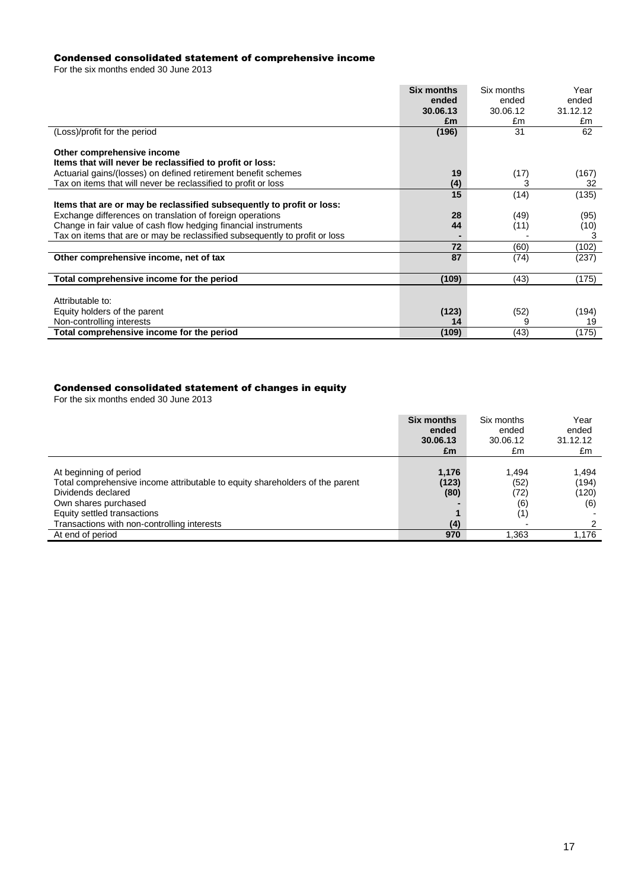### Condensed consolidated statement of comprehensive income

For the six months ended 30 June 2013

|                                                                             | <b>Six months</b> | Six months | Year     |
|-----------------------------------------------------------------------------|-------------------|------------|----------|
|                                                                             | ended             | ended      | ended    |
|                                                                             | 30.06.13          | 30.06.12   | 31.12.12 |
|                                                                             | £m                | £m         | £m       |
| (Loss)/profit for the period                                                | (196)             | 31         | 62       |
|                                                                             |                   |            |          |
| Other comprehensive income                                                  |                   |            |          |
| Items that will never be reclassified to profit or loss:                    |                   |            |          |
| Actuarial gains/(losses) on defined retirement benefit schemes              | 19                | (17)       | (167)    |
| Tax on items that will never be reclassified to profit or loss              | (4)               | 3          | 32       |
|                                                                             | 15                | (14)       | (135)    |
| Items that are or may be reclassified subsequently to profit or loss:       |                   |            |          |
| Exchange differences on translation of foreign operations                   | 28                | (49)       | (95)     |
| Change in fair value of cash flow hedging financial instruments             | 44                | (11)       | (10)     |
| Tax on items that are or may be reclassified subsequently to profit or loss |                   |            | 3        |
|                                                                             | 72                | (60)       | (102)    |
| Other comprehensive income, net of tax                                      | 87                | (74)       | (237)    |
|                                                                             |                   |            |          |
| Total comprehensive income for the period                                   | (109)             | (43)       | (175)    |
|                                                                             |                   |            |          |
| Attributable to:                                                            |                   |            |          |
| Equity holders of the parent                                                | (123)             | (52)       | (194)    |
| Non-controlling interests                                                   | 14                | 9          | 19       |
| Total comprehensive income for the period                                   | (109)             | (43)       | (175)    |

# Condensed consolidated statement of changes in equity

For the six months ended 30 June 2013

|                                                                                                                                                                                                                                    | <b>Six months</b><br>ended<br>30.06.13<br>£m | Six months<br>ended<br>30.06.12<br>£m | Year<br>ended<br>31.12.12<br>£m     |
|------------------------------------------------------------------------------------------------------------------------------------------------------------------------------------------------------------------------------------|----------------------------------------------|---------------------------------------|-------------------------------------|
| At beginning of period<br>Total comprehensive income attributable to equity shareholders of the parent<br>Dividends declared<br>Own shares purchased<br>Equity settled transactions<br>Transactions with non-controlling interests | 1,176<br>(123)<br>(80)<br>(4)                | 1.494<br>(52)<br>(72)<br>(6)<br>(1)   | 1.494<br>(194)<br>(120)<br>(6)<br>2 |
| At end of period                                                                                                                                                                                                                   | 970                                          | 1.363                                 | 1.176                               |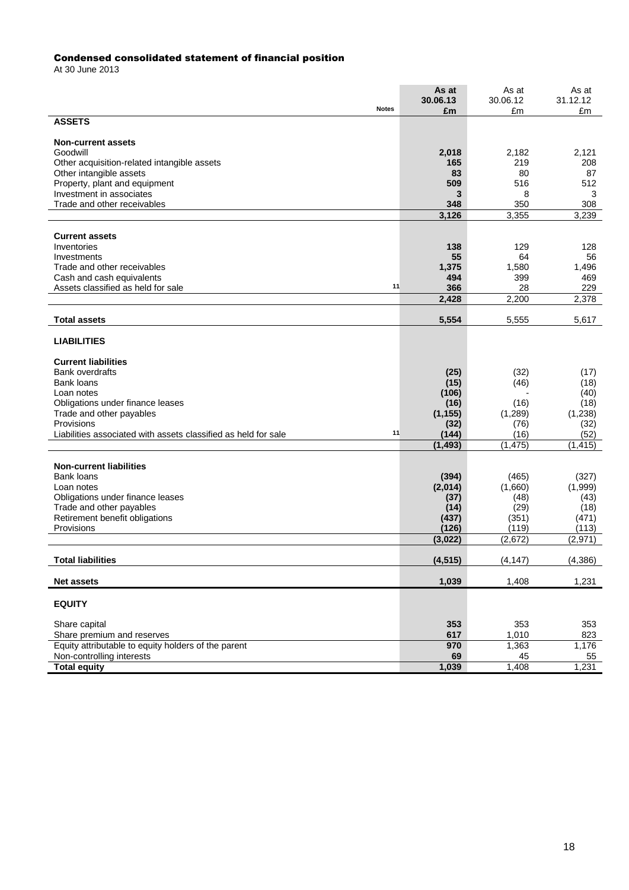# Condensed consolidated statement of financial position

At 30 June 2013

|                                                                |              | As at          | As at          | As at          |
|----------------------------------------------------------------|--------------|----------------|----------------|----------------|
|                                                                |              | 30.06.13       | 30.06.12       | 31.12.12       |
|                                                                | <b>Notes</b> | £m             | £m             | £m             |
| <b>ASSETS</b>                                                  |              |                |                |                |
| <b>Non-current assets</b>                                      |              |                |                |                |
| Goodwill                                                       |              | 2,018          | 2,182          | 2,121          |
| Other acquisition-related intangible assets                    |              | 165            | 219            | 208            |
| Other intangible assets                                        |              | 83             | 80             | 87             |
| Property, plant and equipment<br>Investment in associates      |              | 509<br>3       | 516<br>8       | 512<br>3       |
| Trade and other receivables                                    |              | 348            | 350            | 308            |
|                                                                |              | 3,126          | 3,355          | 3,239          |
|                                                                |              |                |                |                |
| <b>Current assets</b>                                          |              |                |                |                |
| Inventories                                                    |              | 138            | 129            | 128            |
| Investments                                                    |              | 55             | 64             | 56             |
| Trade and other receivables<br>Cash and cash equivalents       |              | 1,375<br>494   | 1,580<br>399   | 1,496<br>469   |
| Assets classified as held for sale                             | 11           | 366            | 28             | 229            |
|                                                                |              | 2,428          | 2,200          | 2,378          |
|                                                                |              |                |                |                |
| <b>Total assets</b>                                            |              | 5,554          | 5,555          | 5,617          |
| <b>LIABILITIES</b>                                             |              |                |                |                |
|                                                                |              |                |                |                |
| <b>Current liabilities</b><br><b>Bank overdrafts</b>           |              | (25)           | (32)           | (17)           |
| Bank loans                                                     |              | (15)           | (46)           | (18)           |
| Loan notes                                                     |              | (106)          |                | (40)           |
| Obligations under finance leases                               |              | (16)           | (16)           | (18)           |
| Trade and other payables                                       |              | (1, 155)       | (1,289)        | (1, 238)       |
| Provisions                                                     |              | (32)           | (76)           | (32)           |
| Liabilities associated with assets classified as held for sale | 11           | (144)          | (16)           | (52)           |
|                                                                |              | (1, 493)       | (1, 475)       | (1, 415)       |
| <b>Non-current liabilities</b>                                 |              |                |                |                |
| <b>Bank loans</b>                                              |              | (394)          | (465)          | (327)          |
| Loan notes                                                     |              | (2,014)        | (1,660)        | (1,999)        |
| Obligations under finance leases                               |              | (37)           | (48)           | (43)           |
| Trade and other payables                                       |              | (14)           | (29)           | (18)           |
| Retirement benefit obligations<br>Provisions                   |              | (437)<br>(126) | (351)<br>(119) | (471)<br>(113) |
|                                                                |              | (3,022)        | (2,672)        | (2,971)        |
|                                                                |              |                |                |                |
| <b>Total liabilities</b>                                       |              | (4, 515)       | (4, 147)       | (4, 386)       |
| Net assets                                                     |              | 1,039          | 1,408          | 1,231          |
| <b>EQUITY</b>                                                  |              |                |                |                |
| Share capital                                                  |              | 353            | 353            | 353            |
| Share premium and reserves                                     |              | 617            | 1,010          | 823            |
| Equity attributable to equity holders of the parent            |              | 970            | 1,363          | 1,176          |
| Non-controlling interests                                      |              | 69             | 45             | 55             |
| <b>Total equity</b>                                            |              | 1,039          | 1,408          | 1,231          |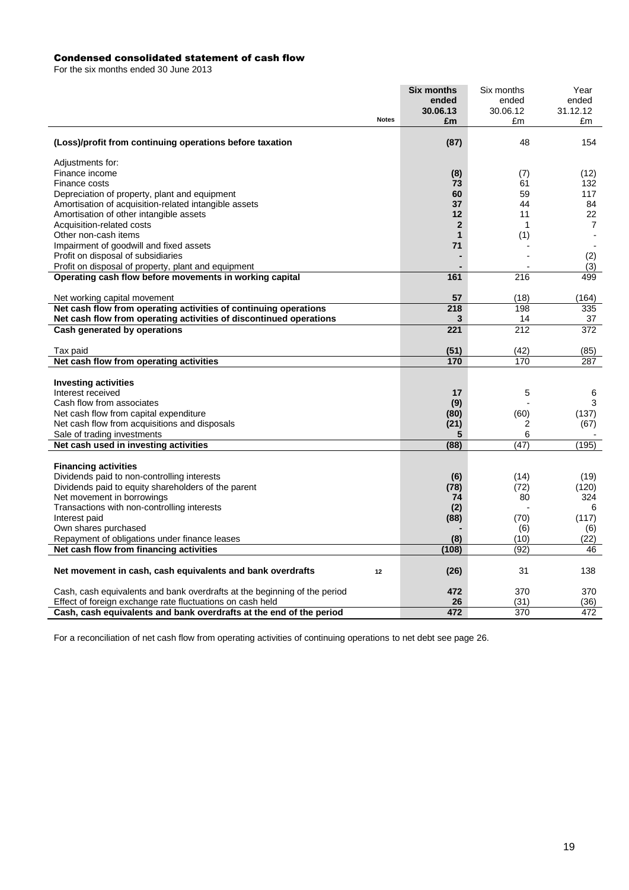### Condensed consolidated statement of cash flow

For the six months ended 30 June 2013

|                                                                                         | <b>Six months</b> | Six months        | Year              |
|-----------------------------------------------------------------------------------------|-------------------|-------------------|-------------------|
|                                                                                         | ended<br>30.06.13 | ended<br>30.06.12 | ended<br>31.12.12 |
| <b>Notes</b>                                                                            | £m                | £m                | £m                |
|                                                                                         |                   |                   |                   |
| (Loss)/profit from continuing operations before taxation                                | (87)              | 48                | 154               |
| Adjustments for:                                                                        |                   |                   |                   |
| Finance income                                                                          | (8)               | (7)               | (12)              |
| Finance costs                                                                           | 73                | 61                | 132               |
| Depreciation of property, plant and equipment                                           | 60                | 59                | 117               |
| Amortisation of acquisition-related intangible assets                                   | 37                | 44                | 84                |
| Amortisation of other intangible assets                                                 | 12                | 11                | 22                |
| Acquisition-related costs                                                               | $\overline{2}$    | 1                 | $\overline{7}$    |
| Other non-cash items                                                                    | $\mathbf{1}$      | (1)               |                   |
| Impairment of goodwill and fixed assets                                                 | 71                |                   |                   |
| Profit on disposal of subsidiaries                                                      |                   |                   | (2)               |
| Profit on disposal of property, plant and equipment                                     |                   | 216               | (3)<br>499        |
| Operating cash flow before movements in working capital                                 | 161               |                   |                   |
| Net working capital movement                                                            | 57                | (18)              | (164)             |
| Net cash flow from operating activities of continuing operations                        | 218               | 198               | 335               |
| Net cash flow from operating activities of discontinued operations                      | 3                 | 14                | 37                |
| Cash generated by operations                                                            | 221               | 212               | 372               |
| Tax paid                                                                                | (51)              | (42)              | (85)              |
| Net cash flow from operating activities                                                 | 170               | 170               | 287               |
|                                                                                         |                   |                   |                   |
| <b>Investing activities</b>                                                             |                   |                   |                   |
| Interest received                                                                       | 17                | 5                 | 6                 |
| Cash flow from associates                                                               | (9)               |                   | 3                 |
| Net cash flow from capital expenditure<br>Net cash flow from acquisitions and disposals | (80)<br>(21)      | (60)<br>2         | (137)<br>(67)     |
|                                                                                         | 5                 | 6                 |                   |
| Sale of trading investments<br>Net cash used in investing activities                    | (88)              | (47)              | (195)             |
|                                                                                         |                   |                   |                   |
| <b>Financing activities</b>                                                             |                   |                   |                   |
| Dividends paid to non-controlling interests                                             | (6)               | (14)              | (19)              |
| Dividends paid to equity shareholders of the parent                                     | (78)              | (72)              | (120)             |
| Net movement in borrowings                                                              | 74                | 80                | 324               |
| Transactions with non-controlling interests                                             | (2)               |                   | 6                 |
| Interest paid                                                                           | (88)              | (70)              | (117)             |
| Own shares purchased                                                                    |                   | (6)               | (6)               |
| Repayment of obligations under finance leases                                           | (8)               | (10)              | (22)              |
| Net cash flow from financing activities                                                 | (108)             | (92)              | 46                |
| Net movement in cash, cash equivalents and bank overdrafts<br>12                        | (26)              | 31                | 138               |
| Cash, cash equivalents and bank overdrafts at the beginning of the period               | 472               | 370               | 370               |
| Effect of foreign exchange rate fluctuations on cash held                               | 26                | (31)              | (36)              |
| Cash, cash equivalents and bank overdrafts at the end of the period                     | 472               | 370               | 472               |

For a reconciliation of net cash flow from operating activities of continuing operations to net debt see page 26.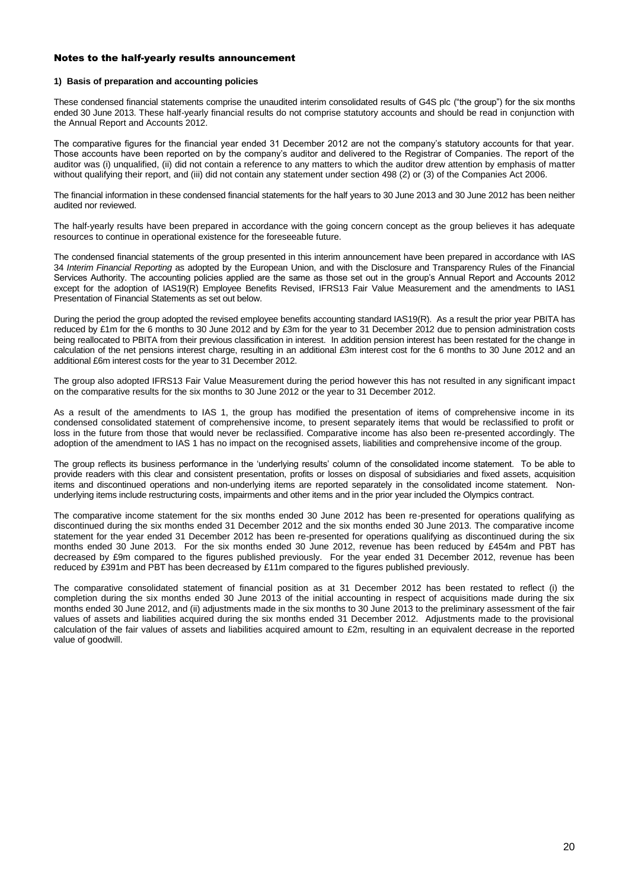### Notes to the half-yearly results announcement

#### **1) Basis of preparation and accounting policies**

These condensed financial statements comprise the unaudited interim consolidated results of G4S plc ("the group") for the six months ended 30 June 2013. These half-yearly financial results do not comprise statutory accounts and should be read in conjunction with the Annual Report and Accounts 2012.

The comparative figures for the financial year ended 31 December 2012 are not the company"s statutory accounts for that year. Those accounts have been reported on by the company"s auditor and delivered to the Registrar of Companies. The report of the auditor was (i) unqualified, (ii) did not contain a reference to any matters to which the auditor drew attention by emphasis of matter without qualifying their report, and (iii) did not contain any statement under section 498 (2) or (3) of the Companies Act 2006.

The financial information in these condensed financial statements for the half years to 30 June 2013 and 30 June 2012 has been neither audited nor reviewed.

The half-yearly results have been prepared in accordance with the going concern concept as the group believes it has adequate resources to continue in operational existence for the foreseeable future.

The condensed financial statements of the group presented in this interim announcement have been prepared in accordance with IAS 34 *Interim Financial Reporting* as adopted by the European Union, and with the Disclosure and Transparency Rules of the Financial Services Authority. The accounting policies applied are the same as those set out in the group"s Annual Report and Accounts 2012 except for the adoption of IAS19(R) Employee Benefits Revised, IFRS13 Fair Value Measurement and the amendments to IAS1 Presentation of Financial Statements as set out below.

During the period the group adopted the revised employee benefits accounting standard IAS19(R). As a result the prior year PBITA has reduced by £1m for the 6 months to 30 June 2012 and by £3m for the year to 31 December 2012 due to pension administration costs being reallocated to PBITA from their previous classification in interest. In addition pension interest has been restated for the change in calculation of the net pensions interest charge, resulting in an additional £3m interest cost for the 6 months to 30 June 2012 and an additional £6m interest costs for the year to 31 December 2012.

The group also adopted IFRS13 Fair Value Measurement during the period however this has not resulted in any significant impact on the comparative results for the six months to 30 June 2012 or the year to 31 December 2012.

As a result of the amendments to IAS 1, the group has modified the presentation of items of comprehensive income in its condensed consolidated statement of comprehensive income, to present separately items that would be reclassified to profit or loss in the future from those that would never be reclassified. Comparative income has also been re-presented accordingly. The adoption of the amendment to IAS 1 has no impact on the recognised assets, liabilities and comprehensive income of the group.

The group reflects its business performance in the "underlying results" column of the consolidated income statement. To be able to provide readers with this clear and consistent presentation, profits or losses on disposal of subsidiaries and fixed assets, acquisition items and discontinued operations and non-underlying items are reported separately in the consolidated income statement. Nonunderlying items include restructuring costs, impairments and other items and in the prior year included the Olympics contract.

The comparative income statement for the six months ended 30 June 2012 has been re-presented for operations qualifying as discontinued during the six months ended 31 December 2012 and the six months ended 30 June 2013. The comparative income statement for the year ended 31 December 2012 has been re-presented for operations qualifying as discontinued during the six months ended 30 June 2013. For the six months ended 30 June 2012, revenue has been reduced by £454m and PBT has decreased by £9m compared to the figures published previously. For the year ended 31 December 2012, revenue has been reduced by £391m and PBT has been decreased by £11m compared to the figures published previously.

The comparative consolidated statement of financial position as at 31 December 2012 has been restated to reflect (i) the completion during the six months ended 30 June 2013 of the initial accounting in respect of acquisitions made during the six months ended 30 June 2012, and (ii) adjustments made in the six months to 30 June 2013 to the preliminary assessment of the fair values of assets and liabilities acquired during the six months ended 31 December 2012. Adjustments made to the provisional calculation of the fair values of assets and liabilities acquired amount to £2m, resulting in an equivalent decrease in the reported value of goodwill.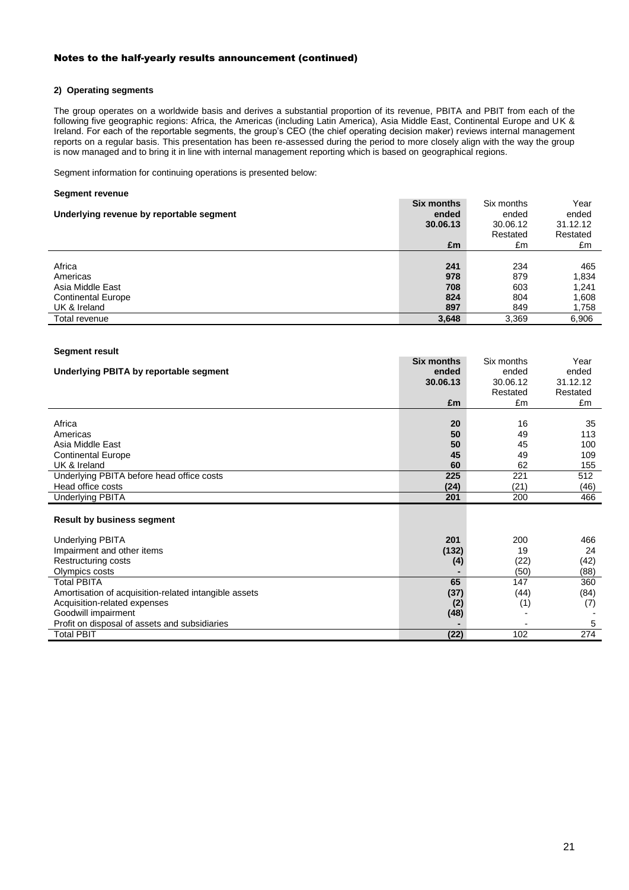### **2) Operating segments**

The group operates on a worldwide basis and derives a substantial proportion of its revenue, PBITA and PBIT from each of the following five geographic regions: Africa, the Americas (including Latin America), Asia Middle East, Continental Europe and UK & Ireland. For each of the reportable segments, the group"s CEO (the chief operating decision maker) reviews internal management reports on a regular basis. This presentation has been re-assessed during the period to more closely align with the way the group is now managed and to bring it in line with internal management reporting which is based on geographical regions.

Segment information for continuing operations is presented below:

#### **Segment revenue**

**Segment result**

|                                          | <b>Six months</b> | Six months | Year     |
|------------------------------------------|-------------------|------------|----------|
| Underlying revenue by reportable segment | ended             | ended      | ended    |
|                                          | 30.06.13          | 30.06.12   | 31.12.12 |
|                                          |                   | Restated   | Restated |
|                                          | £m                | £m         | £m       |
|                                          |                   |            |          |
| Africa                                   | 241               | 234        | 465      |
| Americas                                 | 978               | 879        | 1,834    |
| Asia Middle East                         | 708               | 603        | 1,241    |
| <b>Continental Europe</b>                | 824               | 804        | 1,608    |
| UK & Ireland                             | 897               | 849        | 1,758    |
| Total revenue                            | 3,648             | 3,369      | 6,906    |

#### **Underlying PBITA by reportable segment Six months ended** Six months ended ended **30.06.13** 30.06.12 Restated 31.12.12 Restated **£m** £m £m Africa **20** 16 35 Americas **50** 49 113 Asia Middle East **50** 45 100 **Continental Europe** UK & Ireland **60** 62 155 Underlying PBITA before head office costs **225** 221 512 Head office costs **(24)** (21) (46) Underlying PBITA **201** 200 466 **Result by business segment** Underlying PBITA **201** 200 466 Impairment and other items **(132)** 19 24<br>Restructuring costs **(4)** (22) (42) (22) (42) Restructuring costs **(4)** (22) (42) Olympics costs **-** (50) (88) Total PBITA **65** 147 360

Amortisation of acquisition-related intangible assets **(37)** (84) (84) (84) (84) (84) Acquisition-related expenses **(2)** (1) (7)

Profit on disposal of assets and subsidiaries **6 and subsidiaries 1996 122 122 122 122 122 122 122 122 122 122 122 122 122 122 122 122 122 122 122 122 122 122 122 122 122** Total PBIT **(22)** 102 274

Goodwill impairment **(48)** - -

Year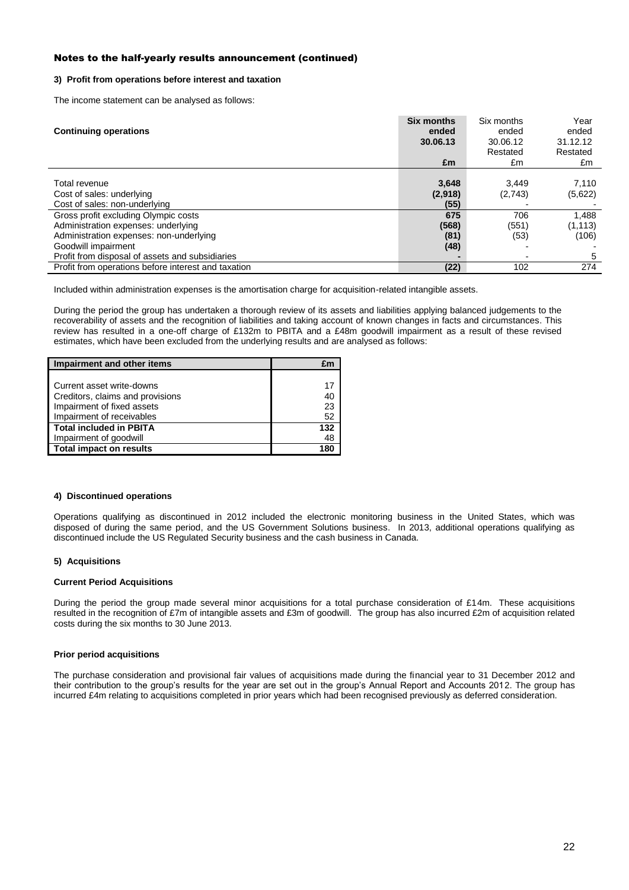### **3) Profit from operations before interest and taxation**

The income statement can be analysed as follows:

|                                                     | <b>Six months</b> | Six months | Year     |
|-----------------------------------------------------|-------------------|------------|----------|
| <b>Continuing operations</b>                        | ended             | ended      | ended    |
|                                                     | 30.06.13          | 30.06.12   | 31.12.12 |
|                                                     |                   | Restated   | Restated |
|                                                     | £m                | £m         | £m       |
|                                                     |                   |            |          |
| Total revenue                                       | 3,648             | 3.449      | 7.110    |
| Cost of sales: underlying                           | (2,918)           | (2,743)    | (5,622)  |
| Cost of sales: non-underlying                       | (55)              |            |          |
| Gross profit excluding Olympic costs                | 675               | 706        | 1,488    |
| Administration expenses: underlying                 | (568)             | (551)      | (1, 113) |
| Administration expenses: non-underlying             | (81)              | (53)       | (106)    |
| Goodwill impairment                                 | (48)              |            |          |
| Profit from disposal of assets and subsidiaries     |                   |            | 5        |
| Profit from operations before interest and taxation | (22)              | 102        | 274      |

Included within administration expenses is the amortisation charge for acquisition-related intangible assets.

During the period the group has undertaken a thorough review of its assets and liabilities applying balanced judgements to the recoverability of assets and the recognition of liabilities and taking account of known changes in facts and circumstances. This review has resulted in a one-off charge of £132m to PBITA and a £48m goodwill impairment as a result of these revised estimates, which have been excluded from the underlying results and are analysed as follows:

| Impairment and other items       |     |
|----------------------------------|-----|
|                                  |     |
| Current asset write-downs        |     |
| Creditors, claims and provisions | 40  |
| Impairment of fixed assets       | 23  |
| Impairment of receivables        | 52  |
| <b>Total included in PBITA</b>   | 132 |
| Impairment of goodwill           | 48  |
| <b>Total impact on results</b>   |     |

#### **4) Discontinued operations**

Operations qualifying as discontinued in 2012 included the electronic monitoring business in the United States, which was disposed of during the same period, and the US Government Solutions business. In 2013, additional operations qualifying as discontinued include the US Regulated Security business and the cash business in Canada.

### **5) Acquisitions**

#### **Current Period Acquisitions**

During the period the group made several minor acquisitions for a total purchase consideration of £14m. These acquisitions resulted in the recognition of £7m of intangible assets and £3m of goodwill. The group has also incurred £2m of acquisition related costs during the six months to 30 June 2013.

### **Prior period acquisitions**

The purchase consideration and provisional fair values of acquisitions made during the financial year to 31 December 2012 and their contribution to the group"s results for the year are set out in the group"s Annual Report and Accounts 2012. The group has incurred £4m relating to acquisitions completed in prior years which had been recognised previously as deferred consideration.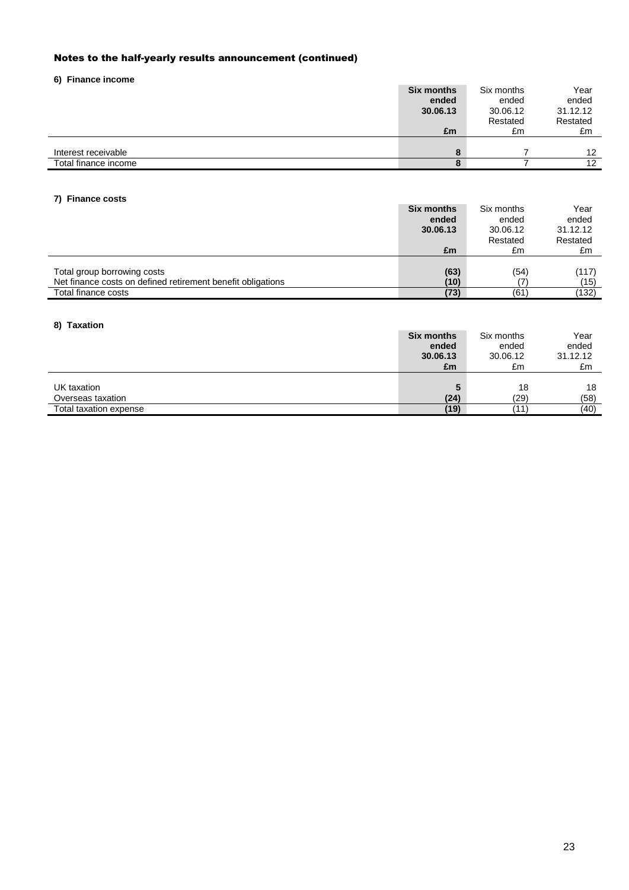**6) Finance income**

|                      | <b>Six months</b> | Six months | Year     |
|----------------------|-------------------|------------|----------|
|                      | ended             | ended      | ended    |
|                      | 30.06.13          | 30.06.12   | 31.12.12 |
|                      |                   | Restated   | Restated |
|                      | £m                | £m         | £m       |
|                      |                   |            |          |
| Interest receivable  |                   |            | 12       |
| Total finance income |                   |            | 12       |

L.

### **7) Finance costs**

|                                                             | <b>Six months</b> | Six months | Year     |
|-------------------------------------------------------------|-------------------|------------|----------|
|                                                             | ended             | ended      | ended    |
|                                                             | 30.06.13          | 30.06.12   | 31.12.12 |
|                                                             |                   | Restated   | Restated |
|                                                             | £m                | £m         | £m       |
|                                                             |                   |            |          |
| Total group borrowing costs                                 | (63)              | (54)       | (117)    |
| Net finance costs on defined retirement benefit obligations | (10)              |            | (15)     |
| Total finance costs                                         | (73)              | (61)       | (132)    |

### **8) Taxation**

|                        | Six months | Six months      | Year     |
|------------------------|------------|-----------------|----------|
|                        | ended      | ended           | ended    |
|                        | 30.06.13   | 30.06.12        | 31.12.12 |
|                        | £m         | £m              | £m       |
|                        |            |                 |          |
| UK taxation            |            | 18              | 18       |
| Overseas taxation      | (24)       | (29)            | (58)     |
| Total taxation expense | (19)       | $^{\prime}$ 11) | (40)     |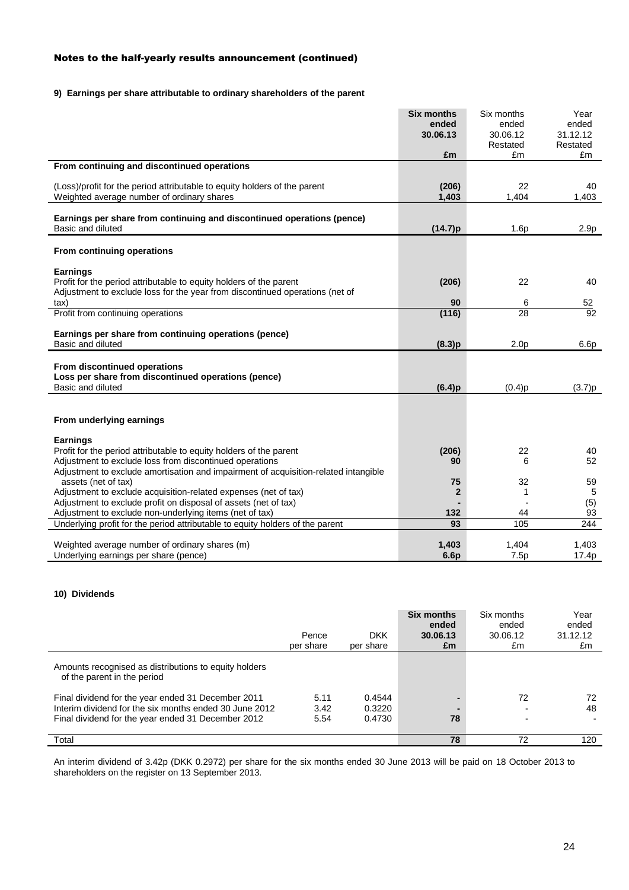### **9) Earnings per share attributable to ordinary shareholders of the parent**

|                                                                                                                                                                                                                                  | <b>Six months</b><br>ended<br>30.06.13<br>£m | Six months<br>ended<br>30.06.12<br>Restated<br>£m | Year<br>ended<br>31.12.12<br>Restated<br>£m |
|----------------------------------------------------------------------------------------------------------------------------------------------------------------------------------------------------------------------------------|----------------------------------------------|---------------------------------------------------|---------------------------------------------|
| From continuing and discontinued operations                                                                                                                                                                                      |                                              |                                                   |                                             |
| (Loss)/profit for the period attributable to equity holders of the parent<br>Weighted average number of ordinary shares                                                                                                          | (206)<br>1.403                               | 22<br>1,404                                       | 40<br>1,403                                 |
| Earnings per share from continuing and discontinued operations (pence)<br>Basic and diluted                                                                                                                                      | (14.7)p                                      | 1.6 <sub>p</sub>                                  | 2.9 <sub>p</sub>                            |
| From continuing operations                                                                                                                                                                                                       |                                              |                                                   |                                             |
| Earnings<br>Profit for the period attributable to equity holders of the parent<br>Adjustment to exclude loss for the year from discontinued operations (net of                                                                   | (206)                                        | 22                                                | 40                                          |
| tax)<br>Profit from continuing operations                                                                                                                                                                                        | 90<br>(116)                                  | 6<br>28                                           | 52<br>92                                    |
| Earnings per share from continuing operations (pence)<br>Basic and diluted                                                                                                                                                       | (8.3)p                                       | 2.0 <sub>p</sub>                                  | 6.6p                                        |
| From discontinued operations<br>Loss per share from discontinued operations (pence)<br>Basic and diluted                                                                                                                         | (6.4)p                                       | (0.4)p                                            | (3.7)p                                      |
| From underlying earnings                                                                                                                                                                                                         |                                              |                                                   |                                             |
| Earnings<br>Profit for the period attributable to equity holders of the parent<br>Adjustment to exclude loss from discontinued operations<br>Adjustment to exclude amortisation and impairment of acquisition-related intangible | (206)<br>90                                  | 22<br>6                                           | 40<br>52                                    |
| assets (net of tax)                                                                                                                                                                                                              | 75                                           | 32                                                | 59                                          |
| Adjustment to exclude acquisition-related expenses (net of tax)<br>Adjustment to exclude profit on disposal of assets (net of tax)                                                                                               | $\overline{2}$                               | 1                                                 | 5<br>(5)                                    |
| Adjustment to exclude non-underlying items (net of tax)                                                                                                                                                                          | 132                                          | 44                                                | 93                                          |
| Underlying profit for the period attributable to equity holders of the parent                                                                                                                                                    | 93                                           | 105                                               | 244                                         |
| Weighted average number of ordinary shares (m)<br>Underlying earnings per share (pence)                                                                                                                                          | 1,403<br>6.6 <sub>p</sub>                    | 1,404<br>7.5p                                     | 1,403<br>17.4p                              |

### **10) Dividends**

|                                                                                      | Pence<br>per share | <b>DKK</b><br>per share | <b>Six months</b><br>ended<br>30.06.13<br>£m | Six months<br>ended<br>30.06.12<br>£m | Year<br>ended<br>31.12.12<br>£m |
|--------------------------------------------------------------------------------------|--------------------|-------------------------|----------------------------------------------|---------------------------------------|---------------------------------|
| Amounts recognised as distributions to equity holders<br>of the parent in the period |                    |                         |                                              |                                       |                                 |
| Final dividend for the year ended 31 December 2011                                   | 5.11               | 0.4544                  |                                              | 72                                    | 72                              |
| Interim dividend for the six months ended 30 June 2012                               | 3.42               | 0.3220                  |                                              |                                       | 48                              |
| Final dividend for the year ended 31 December 2012                                   | 5.54               | 0.4730                  | 78                                           |                                       |                                 |
| Total                                                                                |                    |                         | 78                                           | 72                                    | 120                             |

An interim dividend of 3.42p (DKK 0.2972) per share for the six months ended 30 June 2013 will be paid on 18 October 2013 to shareholders on the register on 13 September 2013.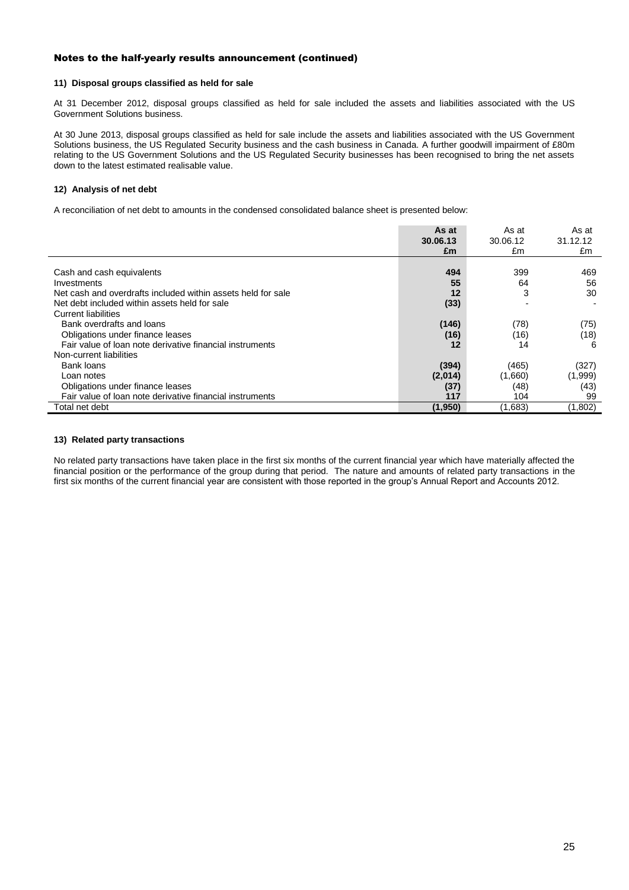#### **11) Disposal groups classified as held for sale**

At 31 December 2012, disposal groups classified as held for sale included the assets and liabilities associated with the US Government Solutions business.

At 30 June 2013, disposal groups classified as held for sale include the assets and liabilities associated with the US Government Solutions business, the US Regulated Security business and the cash business in Canada. A further goodwill impairment of £80m relating to the US Government Solutions and the US Regulated Security businesses has been recognised to bring the net assets down to the latest estimated realisable value.

#### **12) Analysis of net debt**

A reconciliation of net debt to amounts in the condensed consolidated balance sheet is presented below:

|                                                              | As at    | As at    | As at    |
|--------------------------------------------------------------|----------|----------|----------|
|                                                              | 30.06.13 | 30.06.12 | 31.12.12 |
|                                                              | £m       | £m       | £m       |
|                                                              |          |          |          |
| Cash and cash equivalents                                    | 494      | 399      | 469      |
| Investments                                                  | 55       | 64       | 56       |
| Net cash and overdrafts included within assets held for sale | 12       | 3        | 30       |
| Net debt included within assets held for sale                | (33)     |          |          |
| <b>Current liabilities</b>                                   |          |          |          |
| Bank overdrafts and loans                                    | (146)    | (78)     | (75)     |
| Obligations under finance leases                             | (16)     | (16)     | (18)     |
| Fair value of loan note derivative financial instruments     | 12       | 14       | 6        |
| Non-current liabilities                                      |          |          |          |
| Bank loans                                                   | (394)    | (465)    | (327)    |
| Loan notes                                                   | (2,014)  | (1,660)  | (1,999)  |
| Obligations under finance leases                             | (37)     | (48)     | (43)     |
| Fair value of loan note derivative financial instruments     | 117      | 104      | 99       |
| Total net debt                                               | (1,950)  | (1,683)  | (1,802)  |

### **13) Related party transactions**

No related party transactions have taken place in the first six months of the current financial year which have materially affected the financial position or the performance of the group during that period. The nature and amounts of related party transactions in the first six months of the current financial year are consistent with those reported in the group's Annual Report and Accounts 2012.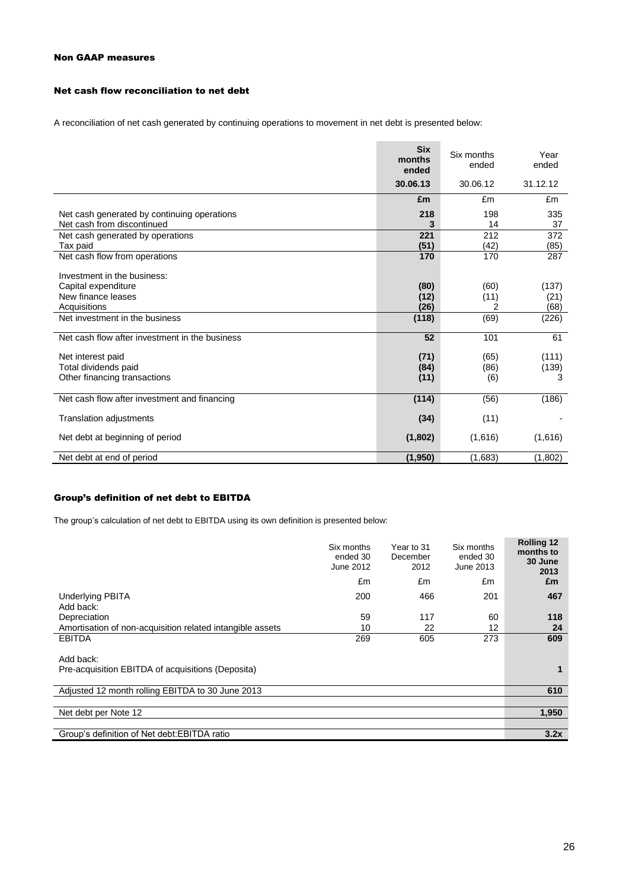### Non GAAP measures

### Net cash flow reconciliation to net debt

A reconciliation of net cash generated by continuing operations to movement in net debt is presented below:

|                                                | <b>Six</b><br>months<br>ended | Six months<br>ended | Year<br>ended |
|------------------------------------------------|-------------------------------|---------------------|---------------|
|                                                | 30.06.13                      | 30.06.12            | 31.12.12      |
|                                                | £m                            | £m                  | £m            |
| Net cash generated by continuing operations    | 218                           | 198                 | 335           |
| Net cash from discontinued                     | 3                             | 14                  | 37            |
| Net cash generated by operations               | 221                           | 212                 | 372           |
| Tax paid                                       | (51)                          | (42)                | (85)          |
| Net cash flow from operations                  | 170                           | 170                 | 287           |
| Investment in the business:                    |                               |                     |               |
| Capital expenditure                            | (80)                          | (60)                | (137)         |
| New finance leases                             | (12)                          | (11)                | (21)          |
| Acquisitions                                   | (26)                          | 2                   | (68)          |
| Net investment in the business                 | (118)                         | (69)                | (226)         |
| Net cash flow after investment in the business | 52                            | 101                 | 61            |
|                                                |                               |                     |               |
| Net interest paid                              | (71)                          | (65)                | (111)         |
| Total dividends paid                           | (84)                          | (86)                | (139)         |
| Other financing transactions                   | (11)                          | (6)                 | 3             |
|                                                |                               |                     |               |
| Net cash flow after investment and financing   | (114)                         | (56)                | (186)         |
| <b>Translation adjustments</b>                 | (34)                          | (11)                |               |
| Net debt at beginning of period                | (1,802)                       | (1,616)             | (1,616)       |
| Net debt at end of period                      | (1,950)                       | (1,683)             | (1,802)       |

### Group's definition of net debt to EBITDA

The group's calculation of net debt to EBITDA using its own definition is presented below:

|                                                                | Six months<br>ended 30<br>June 2012<br>£m | Year to 31<br>December<br>2012<br>£m | Six months<br>ended 30<br>June 2013<br>£m | <b>Rolling 12</b><br>months to<br>30 June<br>2013<br>£m |
|----------------------------------------------------------------|-------------------------------------------|--------------------------------------|-------------------------------------------|---------------------------------------------------------|
|                                                                |                                           |                                      |                                           |                                                         |
| <b>Underlying PBITA</b>                                        | 200                                       | 466                                  | 201                                       | 467                                                     |
| Add back:                                                      |                                           |                                      |                                           |                                                         |
| Depreciation                                                   | 59                                        | 117                                  | 60                                        | 118                                                     |
| Amortisation of non-acquisition related intangible assets      | 10                                        | 22                                   | 12                                        | 24                                                      |
| <b>EBITDA</b>                                                  | 269                                       | 605                                  | 273                                       | 609                                                     |
| Add back:<br>Pre-acquisition EBITDA of acquisitions (Deposita) |                                           |                                      |                                           | 1                                                       |
| Adjusted 12 month rolling EBITDA to 30 June 2013               |                                           |                                      |                                           | 610                                                     |
|                                                                |                                           |                                      |                                           |                                                         |
| Net debt per Note 12                                           |                                           |                                      |                                           | 1,950                                                   |
|                                                                |                                           |                                      |                                           |                                                         |
| Group's definition of Net debt: EBITDA ratio                   |                                           |                                      |                                           | 3.2x                                                    |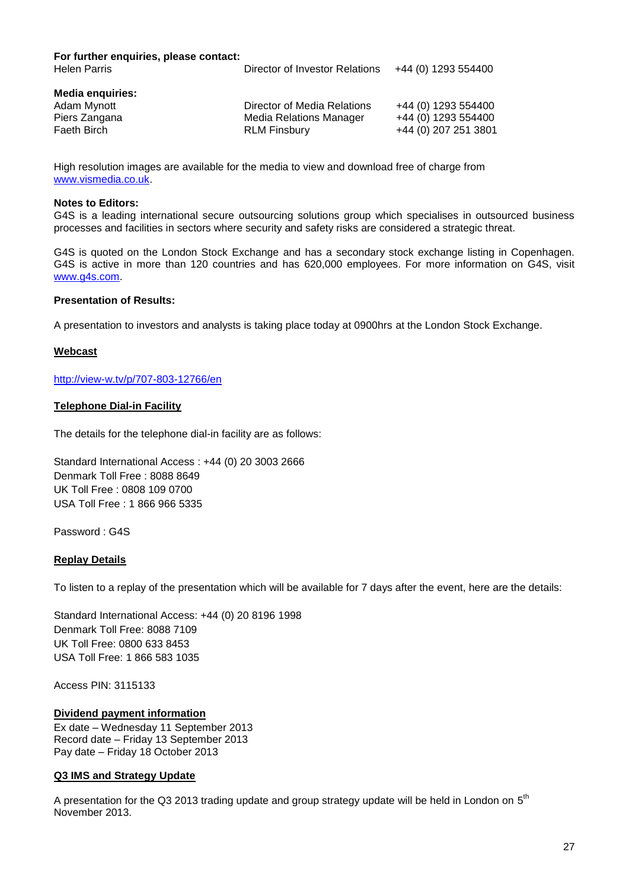# **For further enquiries, please contact:**  Helen Parris Director of Investor Relations +44 (0) 1293 554400

| +44 (0) 1293 554400  |
|----------------------|
| +44 (0) 1293 554400  |
| +44 (0) 207 251 3801 |
|                      |

High resolution images are available for the media to view and download free of charge from [www.vismedia.co.uk.](file://www.vismedia.co.uk)

### **Notes to Editors:**

G4S is a leading international secure outsourcing solutions group which specialises in outsourced business processes and facilities in sectors where security and safety risks are considered a strategic threat.

G4S is quoted on the London Stock Exchange and has a secondary stock exchange listing in Copenhagen. G4S is active in more than 120 countries and has 620,000 employees. For more information on G4S, visit [www.g4s.com.](http://www.g4s.com/)

### **Presentation of Results:**

A presentation to investors and analysts is taking place today at 0900hrs at the London Stock Exchange.

### **Webcast**

<http://view-w.tv/p/707-803-12766/en>

### **Telephone Dial-in Facility**

The details for the telephone dial-in facility are as follows:

Standard International Access : +44 (0) 20 3003 2666 Denmark Toll Free : 8088 8649 UK Toll Free : 0808 109 0700 USA Toll Free : 1 866 966 5335

Password : G4S

# **Replay Details**

To listen to a replay of the presentation which will be available for 7 days after the event, here are the details:

Standard International Access: +44 (0) 20 8196 1998 Denmark Toll Free: 8088 7109 UK Toll Free: 0800 633 8453 USA Toll Free: 1 866 583 1035

Access PIN: 3115133

# **Dividend payment information**

Ex date – Wednesday 11 September 2013 Record date – Friday 13 September 2013 Pay date – Friday 18 October 2013

# **Q3 IMS and Strategy Update**

A presentation for the Q3 2013 trading update and group strategy update will be held in London on  $5<sup>th</sup>$ November 2013.